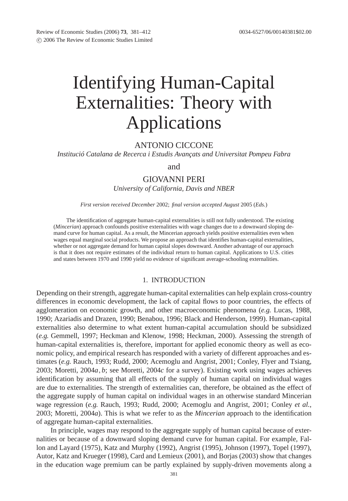# Identifying Human-Capital Externalities: Theory with Applications

# ANTONIO CICCONE

*Institució Catalana de Recerca i Estudis Avançats and Universitat Pompeu Fabra*

and

# GIOVANNI PERI

*University of California, Davis and NBER*

*First version received December* 2002; *final version accepted August* 2005 (*Eds.*)

The identification of aggregate human-capital externalities is still not fully understood. The existing (*Mincerian*) approach confounds positive externalities with wage changes due to a downward sloping demand curve for human capital. As a result, the Mincerian approach yields positive externalities even when wages equal marginal social products. We propose an approach that identifies human-capital externalities, whether or not aggregate demand for human capital slopes downward. Another advantage of our approach is that it does not require estimates of the individual return to human capital. Applications to U.S. cities and states between 1970 and 1990 yield no evidence of significant average-schooling externalities.

# 1. INTRODUCTION

Depending on their strength, aggregate human-capital externalities can help explain cross-country differences in economic development, the lack of capital flows to poor countries, the effects of agglomeration on economic growth, and other macroeconomic phenomena (*e.g.* Lucas, 1988, 1990; Azariadis and Drazen, 1990; Benabou, 1996; Black and Henderson, 1999). Human-capital externalities also determine to what extent human-capital accumulation should be subsidized (*e.g.* Gemmell, 1997; Heckman and Klenow, 1998; Heckman, 2000). Assessing the strength of human-capital externalities is, therefore, important for applied economic theory as well as economic policy, and empirical research has responded with a variety of different approaches and estimates (*e.g.* Rauch, 1993; Rudd, 2000; Acemoglu and Angrist, 2001; Conley, Flyer and Tsiang, 2003; Moretti, 2004*a*,*b*; see Moretti, 2004*c* for a survey). Existing work using wages achieves identification by assuming that all effects of the supply of human capital on individual wages are due to externalities. The strength of externalities can, therefore, be obtained as the effect of the aggregate supply of human capital on individual wages in an otherwise standard Mincerian wage regression (*e.g.* Rauch, 1993; Rudd, 2000; Acemoglu and Angrist, 2001; Conley *et al.*, 2003; Moretti, 2004*a*). This is what we refer to as the *Mincerian* approach to the identification of aggregate human-capital externalities.

In principle, wages may respond to the aggregate supply of human capital because of externalities or because of a downward sloping demand curve for human capital. For example, Fallon and Layard (1975), Katz and Murphy (1992), Angrist (1995), Johnson (1997), Topel (1997), Autor, Katz and Krueger (1998), Card and Lemieux (2001), and Borjas (2003) show that changes in the education wage premium can be partly explained by supply-driven movements along a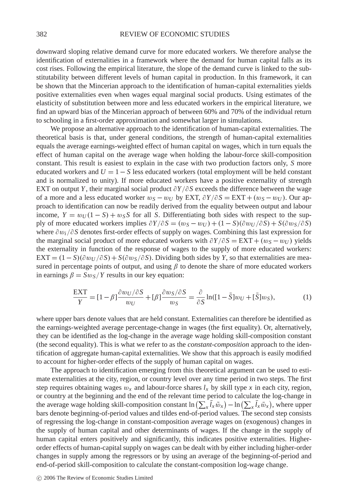downward sloping relative demand curve for more educated workers. We therefore analyse the identification of externalities in a framework where the demand for human capital falls as its cost rises. Following the empirical literature, the slope of the demand curve is linked to the substitutability between different levels of human capital in production. In this framework, it can be shown that the Mincerian approach to the identification of human-capital externalities yields positive externalities even when wages equal marginal social products. Using estimates of the elasticity of substitution between more and less educated workers in the empirical literature, we find an upward bias of the Mincerian approach of between 60% and 70% of the individual return to schooling in a first-order approximation and somewhat larger in simulations.

We propose an alternative approach to the identification of human-capital externalities. The theoretical basis is that, under general conditions, the strength of human-capital externalities equals the average earnings-weighted effect of human capital on wages, which in turn equals the effect of human capital on the average wage when holding the labour-force skill-composition constant. This result is easiest to explain in the case with two production factors only, *S* more educated workers and *U* = 1− *S* less educated workers (total employment will be held constant and is normalized to unity). If more educated workers have a positive externality of strength EXT on output *Y* , their marginal social product ∂*Y*/∂ *S* exceeds the difference between the wage of a more and a less educated worker  $w_S - w_U$  by EXT,  $\partial Y/\partial S = \text{EXT} + (w_S - w_U)$ . Our approach to identification can now be readily derived from the equality between output and labour income,  $Y = w_U(1 - S) + w_S S$  for all *S*. Differentiating both sides with respect to the supply of more educated workers implies  $\partial Y/\partial S = (w_S - w_U) + (1 - S)(\partial w_U/\partial S) + S(\partial w_S/\partial S)$ where  $\partial w_i / \partial S$  denotes first-order effects of supply on wages. Combining this last expression for the marginal social product of more educated workers with  $\partial Y/\partial S = \text{EXT} + (w_S - w_U)$  yields the externality in function of the response of wages to the supply of more educated workers:  $EXT = (1 - S)(\partial w_U / \partial S) + S(\partial w_S / \partial S)$ . Dividing both sides by *Y*, so that externalities are measured in percentage points of output, and using  $\beta$  to denote the share of more educated workers in earnings  $\beta = S w_S / Y$  results in our key equation:

$$
\frac{\text{EXT}}{Y} = [1 - \beta] \frac{\partial w_U / \partial S}{w_U} + [\beta] \frac{\partial w_S / \partial S}{w_S} = \frac{\partial}{\partial S} \ln([1 - \bar{S}] w_U + [\bar{S}] w_S),\tag{1}
$$

where upper bars denote values that are held constant. Externalities can therefore be identified as the earnings-weighted average percentage-change in wages (the first equality). Or, alternatively, they can be identified as the log-change in the average wage holding skill-composition constant (the second equality). This is what we refer to as the *constant-composition* approach to the identification of aggregate human-capital externalities. We show that this approach is easily modified to account for higher-order effects of the supply of human capital on wages.

The approach to identification emerging from this theoretical argument can be used to estimate externalities at the city, region, or country level over any time period in two steps. The first step requires obtaining wages  $w_x$  and labour-force shares  $l_x$  by skill type x in each city, region, or country at the beginning and the end of the relevant time period to calculate the log-change in the average wage holding skill-composition constant  $\ln(\sum_{x} l_x \tilde{w}_x) - \ln(\sum_{x} l_x \bar{w}_x)$ , where upper bars denote beginning-of-period values and tildes end-of-period values. The second step consists of regressing the log-change in constant-composition average wages on (exogenous) changes in the supply of human capital and other determinants of wages. If the change in the supply of human capital enters positively and significantly, this indicates positive externalities. Higherorder effects of human-capital supply on wages can be dealt with by either including higher-order changes in supply among the regressors or by using an average of the beginning-of-period and end-of-period skill-composition to calculate the constant-composition log-wage change.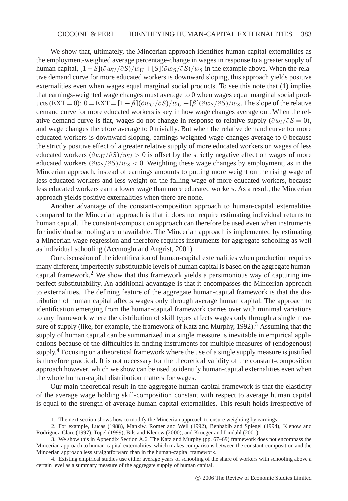We show that, ultimately, the Mincerian approach identifies human-capital externalities as the employment-weighted average percentage-change in wages in response to a greater supply of human capital,  $[1 - S](\partial w_U / \partial S)/w_U + [S](\partial w_S / \partial S)/w_S$  in the example above. When the relative demand curve for more educated workers is downward sloping, this approach yields positive externalities even when wages equal marginal social products. To see this note that (1) implies that earnings-weighted wage changes must average to 0 when wages equal marginal social products (EXT = 0):  $0 = \text{EXT} = [1 - \beta](\partial w_U / \partial S)/w_U + [\beta](\partial w_S / \partial S)/w_S$ . The slope of the relative demand curve for more educated workers is key in how wage changes average out. When the relative demand curve is flat, wages do not change in response to relative supply  $(\partial w_i / \partial S = 0)$ , and wage changes therefore average to 0 trivially. But when the relative demand curve for more educated workers is downward sloping, earnings-weighted wage changes average to 0 because the strictly positive effect of a greater relative supply of more educated workers on wages of less educated workers  $(\partial w_U / \partial S)/w_U > 0$  is offset by the strictly negative effect on wages of more educated workers (∂w*S*/∂ *S*)/w*<sup>S</sup>* < 0. Weighting these wage changes by employment, as in the Mincerian approach, instead of earnings amounts to putting more weight on the rising wage of less educated workers and less weight on the falling wage of more educated workers, because less educated workers earn a lower wage than more educated workers. As a result, the Mincerian approach yields positive externalities when there are none.<sup>1</sup>

Another advantage of the constant-composition approach to human-capital externalities compared to the Mincerian approach is that it does not require estimating individual returns to human capital. The constant-composition approach can therefore be used even when instruments for individual schooling are unavailable. The Mincerian approach is implemented by estimating a Mincerian wage regression and therefore requires instruments for aggregate schooling as well as individual schooling (Acemoglu and Angrist, 2001).

Our discussion of the identification of human-capital externalities when production requires many different, imperfectly substitutable levels of human capital is based on the aggregate humancapital framework.2 We show that this framework yields a parsimonious way of capturing imperfect substitutability. An additional advantage is that it encompasses the Mincerian approach to externalities. The defining feature of the aggregate human-capital framework is that the distribution of human capital affects wages only through average human capital. The approach to identification emerging from the human-capital framework carries over with minimal variations to any framework where the distribution of skill types affects wages only through a single measure of supply (like, for example, the framework of Katz and Murphy, 1992).<sup>3</sup> Assuming that the supply of human capital can be summarized in a single measure is inevitable in empirical applications because of the difficulties in finding instruments for multiple measures of (endogenous) supply.4 Focusing on a theoretical framework where the use of a single supply measure is justified is therefore practical. It is not necessary for the theoretical validity of the constant-composition approach however, which we show can be used to identify human-capital externalities even when the whole human-capital distribution matters for wages.

Our main theoretical result in the aggregate human-capital framework is that the elasticity of the average wage holding skill-composition constant with respect to average human capital is equal to the strength of average human-capital externalities. This result holds irrespective of

<sup>1.</sup> The next section shows how to modify the Mincerian approach to ensure weighting by earnings.

<sup>2.</sup> For example, Lucas (1988), Mankiw, Romer and Weil (1992), Benhabib and Spiegel (1994), Klenow and Rodriguez-Clare (1997), Topel (1999), Bils and Klenow (2000), and Krueger and Lindahl (2001).

<sup>3.</sup> We show this in Appendix Section A.6. The Katz and Murphy (pp. 67–69) framework does not encompass the Mincerian approach to human-capital externalities, which makes comparisons between the constant-composition and the Mincerian approach less straightforward than in the human-capital framework.

<sup>4.</sup> Existing empirical studies use either average years of schooling of the share of workers with schooling above a certain level as a summary measure of the aggregate supply of human capital.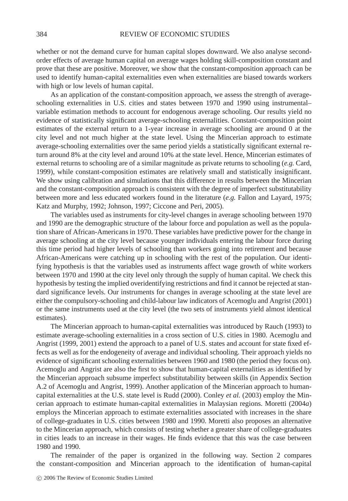whether or not the demand curve for human capital slopes downward. We also analyse secondorder effects of average human capital on average wages holding skill-composition constant and prove that these are positive. Moreover, we show that the constant-composition approach can be used to identify human-capital externalities even when externalities are biased towards workers with high or low levels of human capital.

As an application of the constant-composition approach, we assess the strength of averageschooling externalities in U.S. cities and states between 1970 and 1990 using instrumental– variable estimation methods to account for endogenous average schooling. Our results yield no evidence of statistically significant average-schooling externalities. Constant-composition point estimates of the external return to a 1-year increase in average schooling are around 0 at the city level and not much higher at the state level. Using the Mincerian approach to estimate average-schooling externalities over the same period yields a statistically significant external return around 8% at the city level and around 10% at the state level. Hence, Mincerian estimates of external returns to schooling are of a similar magnitude as private returns to schooling (*e.g.* Card, 1999), while constant-composition estimates are relatively small and statistically insignificant. We show using calibration and simulations that this difference in results between the Mincerian and the constant-composition approach is consistent with the degree of imperfect substitutability between more and less educated workers found in the literature (*e.g.* Fallon and Layard, 1975; Katz and Murphy, 1992; Johnson, 1997; Ciccone and Peri, 2005).

The variables used as instruments for city-level changes in average schooling between 1970 and 1990 are the demographic structure of the labour force and population as well as the population share of African-Americans in 1970. These variables have predictive power for the change in average schooling at the city level because younger individuals entering the labour force during this time period had higher levels of schooling than workers going into retirement and because African-Americans were catching up in schooling with the rest of the population. Our identifying hypothesis is that the variables used as instruments affect wage growth of white workers between 1970 and 1990 at the city level only through the supply of human capital. We check this hypothesis by testing the implied overidentifying restrictions and find it cannot be rejected at standard significance levels. Our instruments for changes in average schooling at the state level are either the compulsory-schooling and child-labour law indicators of Acemoglu and Angrist (2001) or the same instruments used at the city level (the two sets of instruments yield almost identical estimates).

The Mincerian approach to human-capital externalities was introduced by Rauch (1993) to estimate average-schooling externalities in a cross section of U.S. cities in 1980. Acemoglu and Angrist (1999, 2001) extend the approach to a panel of U.S. states and account for state fixed effects as well as for the endogeneity of average and individual schooling. Their approach yields no evidence of significant schooling externalities between 1960 and 1980 (the period they focus on). Acemoglu and Angrist are also the first to show that human-capital externalities as identified by the Mincerian approach subsume imperfect substitutability between skills (in Appendix Section A.2 of Acemoglu and Angrist, 1999). Another application of the Mincerian approach to humancapital externalities at the U.S. state level is Rudd (2000). Conley *et al.* (2003) employ the Mincerian approach to estimate human-capital externalities in Malaysian regions. Moretti (2004*a*) employs the Mincerian approach to estimate externalities associated with increases in the share of college-graduates in U.S. cities between 1980 and 1990. Moretti also proposes an alternative to the Mincerian approach, which consists of testing whether a greater share of college-graduates in cities leads to an increase in their wages. He finds evidence that this was the case between 1980 and 1990.

The remainder of the paper is organized in the following way. Section 2 compares the constant-composition and Mincerian approach to the identification of human-capital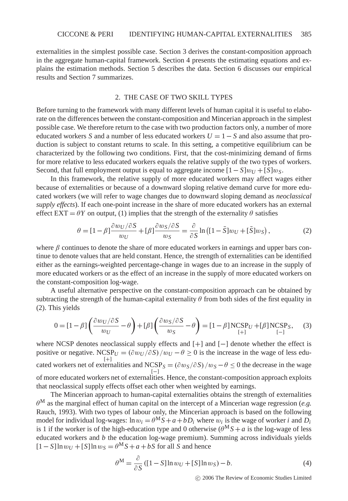externalities in the simplest possible case. Section 3 derives the constant-composition approach in the aggregate human-capital framework. Section 4 presents the estimating equations and explains the estimation methods. Section 5 describes the data. Section 6 discusses our empirical results and Section 7 summarizes.

# 2. THE CASE OF TWO SKILL TYPES

Before turning to the framework with many different levels of human capital it is useful to elaborate on the differences between the constant-composition and Mincerian approach in the simplest possible case. We therefore return to the case with two production factors only, a number of more educated workers *S* and a number of less educated workers *U* = 1− *S* and also assume that production is subject to constant returns to scale. In this setting, a competitive equilibrium can be characterized by the following two conditions. First, that the cost-minimizing demand of firms for more relative to less educated workers equals the relative supply of the two types of workers. Second, that full employment output is equal to aggregate income  $[1 - S]wU + [S]wS$ .

In this framework, the relative supply of more educated workers may affect wages either because of externalities or because of a downward sloping relative demand curve for more educated workers (we will refer to wage changes due to downward sloping demand as *neoclassical supply effects*). If each one-point increase in the share of more educated workers has an external effect  $EXT = \theta Y$  on output, (1) implies that the strength of the externality  $\theta$  satisfies

$$
\theta = [1 - \beta] \frac{\partial w_U / \partial S}{w_U} + [\beta] \frac{\partial w_S / \partial S}{w_S} = \frac{\partial}{\partial S} \ln \left( [1 - \bar{S}] w_U + [\bar{S}] w_S \right),\tag{2}
$$

where  $\beta$  continues to denote the share of more educated workers in earnings and upper bars continue to denote values that are held constant. Hence, the strength of externalities can be identified either as the earnings-weighted percentage-change in wages due to an increase in the supply of more educated workers or as the effect of an increase in the supply of more educated workers on the constant-composition log-wage.

A useful alternative perspective on the constant-composition approach can be obtained by subtracting the strength of the human-capital externality  $\theta$  from both sides of the first equality in (2). This yields

$$
0 = [1 - \beta] \left( \frac{\partial w_U / \partial S}{w_U} - \theta \right) + [\beta] \left( \frac{\partial w_S / \partial S}{w_S} - \theta \right) = [1 - \beta] N C S P_U + [\beta] N C S P_S, \quad (3)
$$

where NCSP denotes neoclassical supply effects and [+] and [−] denote whether the effect is positive or negative. NCSP<sub>*U*</sub> =  $(\partial w_U / \partial S) / w_U - \theta \ge 0$  is the increase in the wage of less edu- $[+]$ cated workers net of externalities and  $NCSP_S = (\partial w_S/\partial S)/w_S - \theta \leq 0$  the decrease in the wage [−] of more educated workers net of externalities. Hence, the constant-composition approach exploits that neoclassical supply effects offset each other when weighted by earnings.

The Mincerian approach to human-capital externalities obtains the strength of externalities  $\theta^M$  as the marginal effect of human capital on the intercept of a Mincerian wage regression (*e.g.*) Rauch, 1993). With two types of labour only, the Mincerian approach is based on the following model for individual log-wages:  $\ln w_i = \theta^M S + a + bD_i$  where  $w_i$  is the wage of worker *i* and  $D_i$ is 1 if the worker is of the high-education type and 0 otherwise  $(\theta^M S + a$  is the log-wage of less educated workers and *b* the education log-wage premium). Summing across individuals yields  $[1 - S] \ln w_U + [S] \ln w_S = \theta^M S + a + bS$  for all *S* and hence

$$
\theta^{\mathbf{M}} = \frac{\partial}{\partial S} \left( [1 - S] \ln w_U + [S] \ln w_S \right) - b. \tag{4}
$$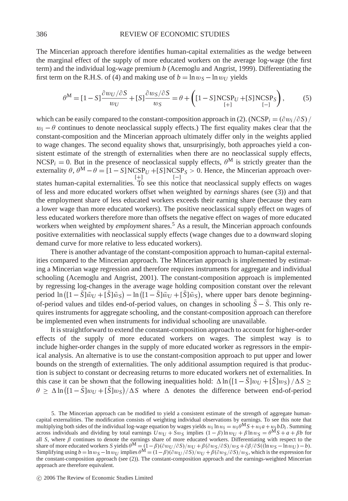The Mincerian approach therefore identifies human-capital externalities as the wedge between the marginal effect of the supply of more educated workers on the average log-wage (the first term) and the individual log-wage premium *b* (Acemoglu and Angrist, 1999). Differentiating the first term on the R.H.S. of (4) and making use of  $b = \ln w_S - \ln w_U$  yields

$$
\theta^{\mathbf{M}} = [1 - S] \frac{\partial w_U / \partial S}{w_U} + [S] \frac{\partial w_S / \partial S}{w_S} = \theta + \left( [1 - S] \text{NCSP}_U + [S] \text{NCSP}_S \right),\tag{5}
$$

which can be easily compared to the constant-composition approach in (2). (NCSP<sub>*i*</sub> =  $(\partial w_i/\partial S)$ /  $w_i - \theta$  continues to denote neoclassical supply effects.) The first equality makes clear that the constant-composition and the Mincerian approach ultimately differ only in the weights applied to wage changes. The second equality shows that, unsurprisingly, both approaches yield a consistent estimate of the strength of externalities when there are no neoclassical supply effects,  $NCSP_i = 0$ . But in the presence of neoclassical supply effects,  $\theta^M$  is strictly greater than the externality  $\theta$ ,  $\theta^M - \theta = [1 - S] N C S P_U + [S] N C S P_S > 0$ . Hence, the Mincerian approach over-[+] [−] states human-capital externalities. To see this notice that neoclassical supply effects on wages of less and more educated workers offset when weighted by *earnings* shares (see (3)) and that the employment share of less educated workers exceeds their earning share (because they earn a lower wage than more educated workers). The positive neoclassical supply effect on wages of less educated workers therefore more than offsets the negative effect on wages of more educated workers when weighted by *employment* shares.<sup>5</sup> As a result, the Mincerian approach confounds positive externalities with neoclassical supply effects (wage changes due to a downward sloping demand curve for more relative to less educated workers).

There is another advantage of the constant-composition approach to human-capital externalities compared to the Mincerian approach. The Mincerian approach is implemented by estimating a Mincerian wage regression and therefore requires instruments for aggregate and individual schooling (Acemoglu and Angrist, 2001). The constant-composition approach is implemented by regressing log-changes in the average wage holding composition constant over the relevant period  $\ln\left([1-S]\tilde{w}_U + [S]\tilde{w}_S\right) - \ln\left([1-S]\tilde{w}_U + [S]\tilde{w}_S\right)$ , where upper bars denote beginningof-period values and tildes end-of-period values, on changes in schooling  $\tilde{S}$  −  $\bar{S}$ . This only requires instruments for aggregate schooling, and the constant-composition approach can therefore be implemented even when instruments for individual schooling are unavailable.

It is straightforward to extend the constant-composition approach to account for higher-order effects of the supply of more educated workers on wages. The simplest way is to include higher-order changes in the supply of more educated worker as regressors in the empirical analysis. An alternative is to use the constant-composition approach to put upper and lower bounds on the strength of externalities. The only additional assumption required is that production is subject to constant or decreasing returns to more educated workers net of externalities. In this case it can be shown that the following inequalities hold:  $\Delta \ln \left( \left[1 - \bar{S}\right] w_U + \left[\bar{S}\right] w_S \right) / \Delta S \ge$  $\theta \geq \Delta \ln \left( \left[1 - S \right] w_U + \left[ S \right] w_S \right) / \Delta S$  where  $\Delta$  denotes the difference between end-of-period

<sup>5.</sup> The Mincerian approach can be modified to yield a consistent estimate of the strength of aggregate humancapital externalities. The modification consists of weighting individual observations by earnings. To see this note that multiplying both sides of the individual log-wage equation by wages yields  $w_i \ln w_i = w_i \theta^M S + w_i a + w_i b D_i$ across individuals and dividing by total earnings  $Uw_U + Sw_S$  implies  $(1 - \beta) \ln w_U + \beta \ln w_S = \theta^M S + a + \beta b$  for<br>all S, where  $\beta$  continues to denote the earnings share of more educated workers. Differentiating with respect to the Simplifying using  $b = \ln w_S - \ln w_U$  implies  $\theta^M = (1 - \beta)(\partial w_U / \partial S)/w_U + \beta(\partial w_S / \partial S)/w_S$ , which is the expression for the constant-composition approach (see (2)). The constant-composition approach and the earnings-weighted Mincerian approach are therefore equivalent.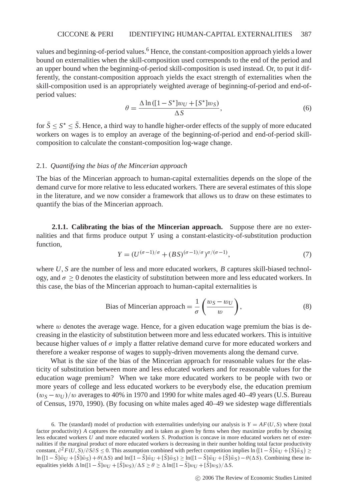values and beginning-of-period values.<sup>6</sup> Hence, the constant-composition approach yields a lower bound on externalities when the skill-composition used corresponds to the end of the period and an upper bound when the beginning-of-period skill-composition is used instead. Or, to put it differently, the constant-composition approach yields the exact strength of externalities when the skill-composition used is an appropriately weighted average of beginning-of-period and end-ofperiod values:

$$
\theta = \frac{\Delta \ln\left([1 - S^*]w_U + [S^*]w_S\right)}{\Delta S},\tag{6}
$$

for  $\bar{S} \le S^* \le \tilde{S}$ . Hence, a third way to handle higher-order effects of the supply of more educated workers on wages is to employ an average of the beginning-of-period and end-of-period skillcomposition to calculate the constant-composition log-wage change.

## 2.1. *Quantifying the bias of the Mincerian approach*

The bias of the Mincerian approach to human-capital externalities depends on the slope of the demand curve for more relative to less educated workers. There are several estimates of this slope in the literature, and we now consider a framework that allows us to draw on these estimates to quantify the bias of the Mincerian approach.

**2.1.1. Calibrating the bias of the Mincerian approach.** Suppose there are no externalities and that firms produce output *Y* using a constant-elasticity-of-substitution production function,

$$
Y = (U^{(\sigma - 1)/\sigma} + (BS)^{(\sigma - 1)/\sigma})^{\sigma/(\sigma - 1)},
$$
\n(7)

where *U*, *S* are the number of less and more educated workers, *B* captures skill-biased technology, and  $\sigma \geq 0$  denotes the elasticity of substitution between more and less educated workers. In this case, the bias of the Mincerian approach to human-capital externalities is

Bias of Mincerian approach = 
$$
\frac{1}{\sigma} \left( \frac{w_S - w_U}{w} \right)
$$
, (8)

where  $w$  denotes the average wage. Hence, for a given education wage premium the bias is decreasing in the elasticity of substitution between more and less educated workers. This is intuitive because higher values of  $\sigma$  imply a flatter relative demand curve for more educated workers and therefore a weaker response of wages to supply-driven movements along the demand curve.

What is the size of the bias of the Mincerian approach for reasonable values for the elasticity of substitution between more and less educated workers and for reasonable values for the education wage premium? When we take more educated workers to be people with two or more years of college and less educated workers to be everybody else, the education premium  $(w_S - w_U)/w$  averages to 40% in 1970 and 1990 for white males aged 40–49 years (U.S. Bureau of Census, 1970, 1990). (By focusing on white males aged 40–49 we sidestep wage differentials

<sup>6.</sup> The (standard) model of production with externalities underlying our analysis is  $Y = AF(U, S)$  where (total factor productivity) *A* captures the externality and is taken as given by firms when they maximize profits by choosing less educated workers *U* and more educated workers *S*. Production is concave in more educated workers net of externalities if the marginal product of more educated workers is decreasing in their number holding total factor productivity constant,  $\partial^2 F(U, S)/\partial S \partial S \le 0$ . This assumption combined with perfect competition implies  $\ln \left( [1 - \overline{S}] \tilde{w}_U + [\overline{S}] \tilde{w}_S \right) \ge$  $\ln\left(\left[1 - S\right]\bar{w}_U + \left[S\right]\bar{w}_S\right) + \theta(\Delta S)$  and  $\ln\left(\left[1 - \bar{S}\right]\bar{w}_U + \left[\bar{S}\right]\bar{w}_S\right) \ge \ln\left(\left[1 - \bar{S}\right]\bar{w}_U + \left[\bar{S}\right]\bar{w}_S\right) - \theta(\Delta S)$ . Combining these inequalities yields  $\Delta \ln((1 - \bar{S}w) / \Delta S > \theta > \Delta \ln((1 - \tilde{S}w) / \Delta S)$ .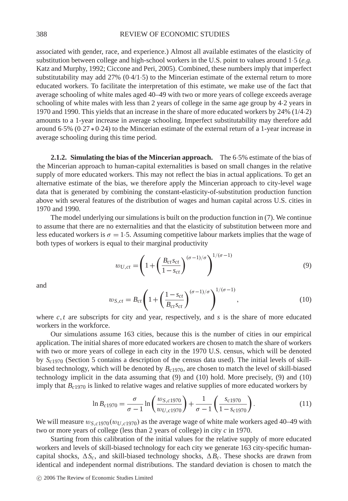associated with gender, race, and experience.) Almost all available estimates of the elasticity of substitution between college and high-school workers in the U.S. point to values around 1·5 (*e.g.* Katz and Murphy, 1992; Ciccone and Peri, 2005). Combined, these numbers imply that imperfect substitutability may add 27% (0.4/1.5) to the Mincerian estimate of the external return to more educated workers. To facilitate the interpretation of this estimate, we make use of the fact that average schooling of white males aged 40–49 with two or more years of college exceeds average schooling of white males with less than 2 years of college in the same age group by 4·2 years in 1970 and 1990. This yields that an increase in the share of more educated workers by 24% (1/4·2) amounts to a 1-year increase in average schooling. Imperfect substitutability may therefore add around 6·5% (0·27 ∗ 0·24) to the Mincerian estimate of the external return of a 1-year increase in average schooling during this time period.

**2.1.2. Simulating the bias of the Mincerian approach.** The 6·5% estimate of the bias of the Mincerian approach to human-capital externalities is based on small changes in the relative supply of more educated workers. This may not reflect the bias in actual applications. To get an alternative estimate of the bias, we therefore apply the Mincerian approach to city-level wage data that is generated by combining the constant-elasticity-of-substitution production function above with several features of the distribution of wages and human capital across U.S. cities in 1970 and 1990.

The model underlying our simulations is built on the production function in (7). We continue to assume that there are no externalities and that the elasticity of substitution between more and less educated workers is  $\sigma = 1.5$ . Assuming competitive labour markets implies that the wage of both types of workers is equal to their marginal productivity

$$
w_{U,ct} = \left(1 + \left(\frac{B_{ct} s_{ct}}{1 - s_{ct}}\right)^{(\sigma - 1)/\sigma}\right)^{1/(\sigma - 1)}
$$
(9)

and

$$
w_{S,ct} = B_{ct} \left( 1 + \left( \frac{1 - s_{ct}}{B_{ct} s_{ct}} \right)^{(\sigma - 1)/\sigma} \right)^{1/(\sigma - 1)},
$$
\n(10)

where  $c, t$  are subscripts for city and year, respectively, and  $s$  is the share of more educated workers in the workforce.

Our simulations assume 163 cities, because this is the number of cities in our empirical application. The initial shares of more educated workers are chosen to match the share of workers with two or more years of college in each city in the 1970 U.S. census, which will be denoted by *Sc*<sup>1970</sup> (Section 5 contains a description of the census data used). The initial levels of skillbiased technology, which will be denoted by *Bc*1970, are chosen to match the level of skill-biased technology implicit in the data assuming that (9) and (10) hold. More precisely, (9) and (10) imply that *Bc*<sup>1970</sup> is linked to relative wages and relative supplies of more educated workers by

$$
\ln B_{c1970} = \frac{\sigma}{\sigma - 1} \ln \left( \frac{w_{S,c1970}}{w_{U,c1970}} \right) + \frac{1}{\sigma - 1} \left( \frac{s_{c1970}}{1 - s_{c1970}} \right). \tag{11}
$$

We will measure  $w_{S_c(1970)}(w_{U_c(1970)})$  as the average wage of white male workers aged 40–49 with two or more years of college (less than 2 years of college) in city *c* in 1970.

Starting from this calibration of the initial values for the relative supply of more educated workers and levels of skill-biased technology for each city we generate 163 city-specific humancapital shocks,  $\Delta S_c$ , and skill-biased technology shocks,  $\Delta B_c$ . These shocks are drawn from identical and independent normal distributions. The standard deviation is chosen to match the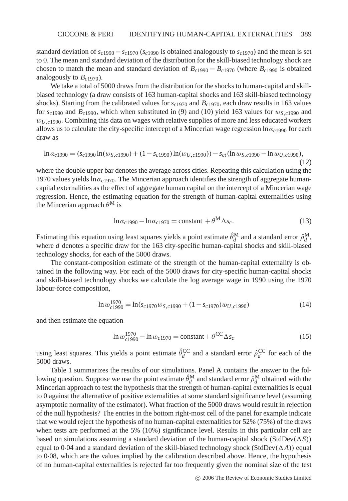standard deviation of  $s_{c1990} - s_{c1970}$  ( $s_{c1990}$  is obtained analogously to  $s_{c1970}$ ) and the mean is set to 0. The mean and standard deviation of the distribution for the skill-biased technology shock are chosen to match the mean and standard deviation of  $B_{c1990} - B_{c1970}$  (where  $B_{c1990}$  is obtained analogously to  $B_{c1970}$ ).

We take a total of 5000 draws from the distribution for the shocks to human-capital and skillbiased technology (a draw consists of 163 human-capital shocks and 163 skill-biased technology shocks). Starting from the calibrated values for *sc*<sup>1970</sup> and *Bc*1970, each draw results in 163 values for  $s_c$ <sub>1990</sub> and  $B_c$ <sub>1990</sub>, which when substituted in (9) and (10) yield 163 values for  $w_{S_c}$ <sub>1990</sub> and  $w_{U,c1990}$ . Combining this data on wages with relative supplies of more and less educated workers allows us to calculate the city-specific intercept of a Mincerian wage regression  $\ln \alpha_{c1990}$  for each draw as

$$
\ln \alpha_{c1990} = (s_{c1990} \ln(w_{S,c1990}) + (1 - s_{c1990}) \ln(w_{U,c1990})) - s_{ct} (\overline{\ln w_{S,c1990} - \ln w_{U,c1990}}),
$$
\n(12)

where the double upper bar denotes the average across cities. Repeating this calculation using the 1970 values yields lnα*c*1970. The Mincerian approach identifies the strength of aggregate humancapital externalities as the effect of aggregate human capital on the intercept of a Mincerian wage regression. Hence, the estimating equation for the strength of human-capital externalities using the Mincerian approach  $\theta^M$  is

$$
\ln \alpha_{c1990} - \ln \alpha_{c1970} = \text{constant } + \theta^{\text{M}} \Delta s_c. \tag{13}
$$

Estimating this equation using least squares yields a point estimate  $\hat{\theta}_d^M$  and a standard error  $\hat{\rho}_d^M$ , where *d* denotes a specific draw for the 163 city-specific human-capital shocks and skill-biased technology shocks, for each of the 5000 draws.

The constant-composition estimate of the strength of the human-capital externality is obtained in the following way. For each of the 5000 draws for city-specific human-capital shocks and skill-biased technology shocks we calculate the log average wage in 1990 using the 1970 labour-force composition,

$$
\ln w_{c1990}^{1970} = \ln(s_{c1970}w_{S,c1990} + (1 - s_{c1970})w_{U,c1990})
$$
\n(14)

and then estimate the equation

$$
\ln w_{c1990}^{1970} - \ln w_{c1970} = \text{constant} + \theta^{\text{CC}} \Delta s_c \tag{15}
$$

using least squares. This yields a point estimate  $\hat{\theta}_d^{\rm CC}$  and a standard error  $\hat{\rho}_d^{\rm CC}$  for each of the 5000 draws.

Table 1 summarizes the results of our simulations. Panel A contains the answer to the following question. Suppose we use the point estimate  $\hat{\theta}_d^M$  and standard error  $\hat{\rho}_d^M$  obtained with the Mincerian approach to test the hypothesis that the strength of human-capital externalities is equal to 0 against the alternative of positive externalities at some standard significance level (assuming asymptotic normality of the estimator). What fraction of the 5000 draws would result in rejection of the null hypothesis? The entries in the bottom right-most cell of the panel for example indicate that we would reject the hypothesis of no human-capital externalities for 52% (75%) of the draws when tests are performed at the 5% (10%) significance level. Results in this particular cell are based on simulations assuming a standard deviation of the human-capital shock ( $StdDev(\Delta S)$ ) equal to 0.04 and a standard deviation of the skill-biased technology shock (StdDev( $\Delta$ *A*)) equal to 0·08, which are the values implied by the calibration described above. Hence, the hypothesis of no human-capital externalities is rejected far too frequently given the nominal size of the test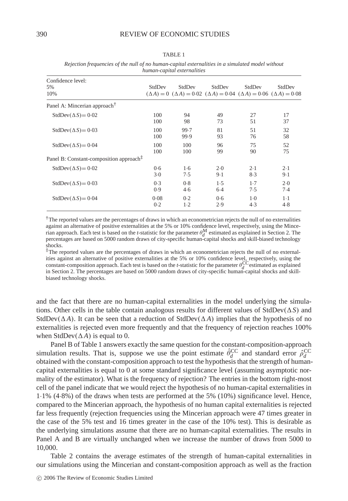|                                                     |        | numan-capuat externatures |        |                                                                                                            |         |
|-----------------------------------------------------|--------|---------------------------|--------|------------------------------------------------------------------------------------------------------------|---------|
| Confidence level:<br>5%<br>10%                      | StdDev | StdDev                    | StdDev | StdDev<br>$(\Delta A) = 0$ $(\Delta A) = 0.02$ $(\Delta A) = 0.04$ $(\Delta A) = 0.06$ $(\Delta A) = 0.08$ | StdDev  |
| Panel A: Mincerian approach <sup>†</sup>            |        |                           |        |                                                                                                            |         |
| $StdDev(\Delta S) = 0.02$                           | 100    | 94                        | 49     | 27                                                                                                         | 17      |
|                                                     | 100    | 98                        | 73     | 51                                                                                                         | 37      |
| $StdDev(\Delta S) = 0.03$                           | 100    | 99.7                      | 81     | 51                                                                                                         | 32      |
|                                                     | 100    | 99.9                      | 93     | 76                                                                                                         | 58      |
| $StdDev(\Delta S) = 0.04$                           | 100    | 100                       | 96     | 75                                                                                                         | 52      |
|                                                     | 100    | 100                       | 99     | 90                                                                                                         | 75      |
| Panel B: Constant-composition approach <sup>1</sup> |        |                           |        |                                                                                                            |         |
| $StdDev(\Delta S) = 0.02$                           | 0.6    | 1.6                       | $2-0$  | 2.1                                                                                                        | 2.1     |
|                                                     | $3-0$  | 7.5                       | $9-1$  | 8.3                                                                                                        | $9-1$   |
| $StdDev(\Delta S) = 0.03$                           | 0.3    | 0.8                       | 1.5    | 1.7                                                                                                        | 2.0     |
|                                                     | 0.9    | 4.6                       | $6-4$  | 7.5                                                                                                        | 7.4     |
| $StdDev(\Delta S) = 0.04$                           | 0.08   | 0.2                       | 0.6    | $1-0$                                                                                                      | $1 - 1$ |
|                                                     | 0.2    | $1-2$                     | 2.9    | 4.3                                                                                                        | 4.8     |

TARI E 1 *Rejection frequencies of the null of no human-capital externalities in a simulated model without human-capital externalities*

 $\dagger$ The reported values are the percentages of draws in which an econometrician rejects the null of no externalities against an alternative of positive externalities at the 5% or 10% confidence level, respectively, using the Mincerian approach. Each test is based on the *t*-statistic for the parameter  $\theta_d^M$  estimated as explained in Section 2. The percentages are based on 5000 random draws of city-specific human-capital shocks and skill-biased technology shocks.

‡The reported values are the percentages of draws in which an econometrician rejects the null of no externalities against an alternative of positive externalities at the 5% or 10% confidence level, respectively, using the constant-composition approach. Each test is based on the *t*-statistic for the parameter  $\theta_d^{\text{CC}}$  estimated as explained in Section 2. The percentages are based on 5000 random draws of city-specific human-capital shocks and skillbiased technology shocks.

and the fact that there are no human-capital externalities in the model underlying the simulations. Other cells in the table contain analogous results for different values of StdDev( $\Delta S$ ) and StdDev( $\Delta A$ ). It can be seen that a reduction of StdDev( $\Delta A$ ) implies that the hypothesis of no externalities is rejected even more frequently and that the frequency of rejection reaches 100% when  $StdDev(\Delta A)$  is equal to 0.

Panel B of Table 1 answers exactly the same question for the constant-composition-approach simulation results. That is, suppose we use the point estimate  $\hat{\theta}_d^{\text{CC}}$  and standard error  $\hat{\rho}_d^{\text{CC}}$ obtained with the constant-composition approach to test the hypothesis that the strength of humancapital externalities is equal to 0 at some standard significance level (assuming asymptotic normality of the estimator). What is the frequency of rejection? The entries in the bottom right-most cell of the panel indicate that we would reject the hypothesis of no human-capital externalities in 1·1% (4·8%) of the draws when tests are performed at the 5% (10%) significance level. Hence, compared to the Mincerian approach, the hypothesis of no human capital externalities is rejected far less frequently (rejection frequencies using the Mincerian approach were 47 times greater in the case of the 5% test and 16 times greater in the case of the 10% test). This is desirable as the underlying simulations assume that there are no human-capital externalities. The results in Panel A and B are virtually unchanged when we increase the number of draws from 5000 to 10,000.

Table 2 contains the average estimates of the strength of human-capital externalities in our simulations using the Mincerian and constant-composition approach as well as the fraction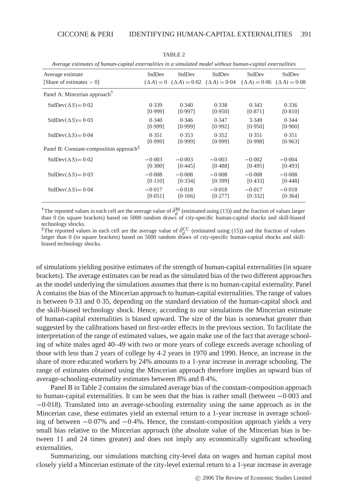| Average estimates of human-capital externalities in a simulated model without human-capital externalities |          |          |                                                                                                  |          |          |
|-----------------------------------------------------------------------------------------------------------|----------|----------|--------------------------------------------------------------------------------------------------|----------|----------|
| Average estimate                                                                                          | StdDev   | StdDev   | StdDev                                                                                           | StdDev   | StdDev   |
| [Share of estimates $> 0$ ]                                                                               |          |          | $(\Delta A) = 0$ $(\Delta A) = 0.02$ $(\Delta A) = 0.04$ $(\Delta A) = 0.06$ $(\Delta A) = 0.08$ |          |          |
| Panel A: Mincerian approach <sup>†</sup>                                                                  |          |          |                                                                                                  |          |          |
| $StdDev(\Delta S) = 0.02$                                                                                 | 0.339    | 0.340    | 0.338                                                                                            | 0.343    | 0.336    |
|                                                                                                           | [0.999]  | [0.997]  | [0.950]                                                                                          | [0.871]  | [0.810]  |
| $StdDev(\Delta S) = 0.03$                                                                                 | 0.340    | 0.346    | 0.347                                                                                            | 3.349    | 0.344    |
|                                                                                                           | [0.999]  | [0.999]  | [0.992]                                                                                          | [0.950]  | [0.900]  |
| $StdDev(\Delta S) = 0.04$                                                                                 | 0.351    | 0.353    | 0.352                                                                                            | 0.351    | 0.351    |
|                                                                                                           | [0.999]  | [0.999]  | [0.999]                                                                                          | [0.998]  | [0.963]  |
| Panel B: Constant-composition approach <sup>+</sup>                                                       |          |          |                                                                                                  |          |          |
| $StdDev(\Delta S) = 0.02$                                                                                 | $-0.003$ | $-0.003$ | $-0.003$                                                                                         | $-0.002$ | $-0.004$ |
|                                                                                                           | [0.300]  | [0.445]  | [0.488]                                                                                          | [0.495]  | [0.493]  |
| $StdDev(\Delta S) = 0.03$                                                                                 | $-0.008$ | $-0.008$ | $-0.008$                                                                                         | $-0.008$ | $-0.008$ |
|                                                                                                           | [0.110]  | [0.334]  | [0.399]                                                                                          | [0.433]  | [0.448]  |
| $StdDev(\Delta S) = 0.04$                                                                                 | $-0.017$ | $-0.018$ | $-0.018$                                                                                         | $-0.017$ | $-0.018$ |
|                                                                                                           | [0.051]  | [0.166]  | [0.277]                                                                                          | [0.332]  | [0.364]  |

TABLE 2

<sup>†</sup>The reported values in each cell are the average value of  $\hat{\theta}_d^M$  (estimated using (13)) and the fraction of values larger than 0 (in square brackets) based on 5000 random draws of city-specific human-capital shocks and skill-biased technology shocks.

<sup>‡</sup>The reported values in each cell are the average value of  $\hat{\theta}_d^{\text{CC}}$  (estimated using (15)) and the fraction of values larger than 0 (in square brackets) based on 5000 random draws of city-specific human-capital sh biased technology shocks.

of simulations yielding positive estimates of the strength of human-capital externalities (in square brackets). The average estimates can be read as the simulated bias of the two different approaches as the model underlying the simulations assumes that there is no human-capital externality. Panel A contains the bias of the Mincerian approach to human-capital externalities. The range of values is between 0·33 and 0·35, depending on the standard deviation of the human-capital shock and the skill-biased technology shock. Hence, according to our simulations the Mincerian estimate of human-capital externalities is biased upward. The size of the bias is somewhat greater than suggested by the calibrations based on first-order effects in the previous section. To facilitate the interpretation of the range of estimated values, we again make use of the fact that average schooling of white males aged 40–49 with two or more years of college exceeds average schooling of those with less than 2 years of college by 4·2 years in 1970 and 1990. Hence, an increase in the share of more educated workers by 24% amounts to a 1-year increase in average schooling. The range of estimates obtained using the Mincerian approach therefore implies an upward bias of average-schooling-externality estimates between 8% and 8·4%.

Panel B in Table 2 contains the simulated average bias of the constant-composition approach to human-capital externalities. It can be seen that the bias is rather small (between −0·003 and −0·018). Translated into an average-schooling externality using the same approach as in the Mincerian case, these estimates yield an external return to a 1-year increase in average schooling of between −0·07% and −0·4%. Hence, the constant-composition approach yields a very small bias relative to the Mincerian approach (the absolute value of the Mincerian bias is between 11 and 24 times greater) and does not imply any economically significant schooling externalities.

Summarizing, our simulations matching city-level data on wages and human capital most closely yield a Mincerian estimate of the city-level external return to a 1-year increase in average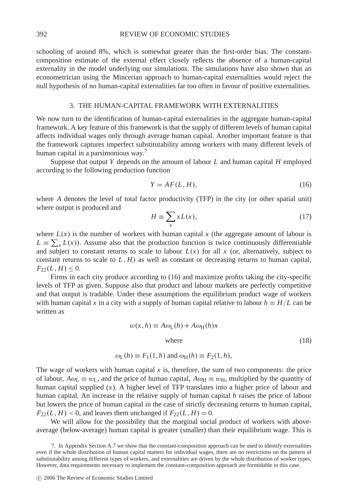schooling of around 8%, which is somewhat greater than the first-order bias. The constantcomposition estimate of the external effect closely reflects the absence of a human-capital externality in the model underlying our simulations. The simulations have also shown that an econometrician using the Mincerian approach to human-capital externalities would reject the null hypothesis of no human-capital externalities far too often in favour of positive externalities.

# 3. THE HUMAN-CAPITAL FRAMEWORK WITH EXTERNALITIES

We now turn to the identification of human-capital externalities in the aggregate human-capital framework. A key feature of this framework is that the supply of different levels of human capital affects individual wages only through average human capital. Another important feature is that the framework captures imperfect substitutability among workers with many different levels of human capital in a parsimonious way.<sup>7</sup>

Suppose that output *Y* depends on the amount of labour *L* and human capital *H* employed according to the following production function

$$
Y = AF(L, H),\tag{16}
$$

where *A* denotes the level of total factor productivity (TFP) in the city (or other spatial unit) where output is produced and

$$
H \equiv \sum_{x} x L(x),\tag{17}
$$

where  $L(x)$  is the number of workers with human capital x (the aggregate amount of labour is  $L \equiv \sum_{x} L(x)$ ). Assume also that the production function is twice continuously differentiable and subject to constant returns to scale to labour  $L(x)$  for all x (or, alternatively, subject to constant returns to scale to  $L, H$ ) as well as constant or decreasing returns to human capital,  $F_{22}(L, H) \leq 0.$ 

Firms in each city produce according to (16) and maximize profits taking the city-specific levels of TFP as given. Suppose also that product and labour markets are perfectly competitive and that output is tradable. Under these assumptions the equilibrium product wage of workers with human capital *x* in a city with a supply of human capital relative to labour  $h \equiv H/L$  can be written as

$$
w(x, h) \equiv A\omega_L(h) + A\omega_H(h)x
$$

where  $(18)$ 

$$
\omega_{\text{L}}(h) \equiv F_1(1, h)
$$
 and  $\omega_{\text{H}}(h) \equiv F_2(1, h)$ ,

The wage of workers with human capital  $x$  is, therefore, the sum of two components: the price of labour,  $A\omega_L \equiv \omega_L$ , and the price of human capital,  $A\omega_H \equiv \omega_H$ , multiplied by the quantity of human capital supplied (*x*). A higher level of TFP translates into a higher price of labour and human capital. An increase in the relative supply of human capital *h* raises the price of labour but lowers the price of human capital in the case of strictly decreasing returns to human capital,  $F_{22}(L, H) < 0$ , and leaves them unchanged if  $F_{22}(L, H) = 0$ .

We will allow for the possibility that the marginal social product of workers with aboveaverage (below-average) human capital is greater (smaller) than their equilibrium wage. This is

<sup>7.</sup> In Appendix Section A.7 we show that the constant-composition approach can be used to identify externalities even if the whole distribution of human capital matters for individual wages, there are no restrictions on the pattern of substitutability among different types of workers, and externalities are driven by the whole distribution of worker types. However, data requirements necessary to implement the constant-composition approach are formidable in this case.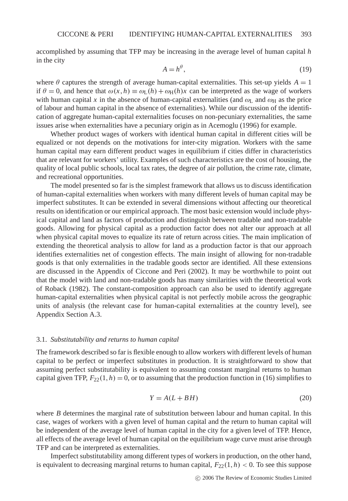accomplished by assuming that TFP may be increasing in the average level of human capital *h* in the city

$$
A = h^{\theta},\tag{19}
$$

where  $\theta$  captures the strength of average human-capital externalities. This set-up yields  $A = 1$ if  $\theta = 0$ , and hence that  $\omega(x, h) \equiv \omega_L(h) + \omega_H(h)x$  can be interpreted as the wage of workers with human capital x in the absence of human-capital externalities (and  $\omega_L$  and  $\omega_H$  as the price of labour and human capital in the absence of externalities). While our discussion of the identification of aggregate human-capital externalities focuses on non-pecuniary externalities, the same issues arise when externalities have a pecuniary origin as in Acemoglu (1996) for example.

Whether product wages of workers with identical human capital in different cities will be equalized or not depends on the motivations for inter-city migration. Workers with the same human capital may earn different product wages in equilibrium if cities differ in characteristics that are relevant for workers' utility. Examples of such characteristics are the cost of housing, the quality of local public schools, local tax rates, the degree of air pollution, the crime rate, climate, and recreational opportunities.

The model presented so far is the simplest framework that allows us to discuss identification of human-capital externalities when workers with many different levels of human capital may be imperfect substitutes. It can be extended in several dimensions without affecting our theoretical results on identification or our empirical approach. The most basic extension would include physical capital and land as factors of production and distinguish between tradable and non-tradable goods. Allowing for physical capital as a production factor does not alter our approach at all when physical capital moves to equalize its rate of return across cities. The main implication of extending the theoretical analysis to allow for land as a production factor is that our approach identifies externalities net of congestion effects. The main insight of allowing for non-tradable goods is that only externalities in the tradable goods sector are identified. All these extensions are discussed in the Appendix of Ciccone and Peri (2002). It may be worthwhile to point out that the model with land and non-tradable goods has many similarities with the theoretical work of Roback (1982). The constant-composition approach can also be used to identify aggregate human-capital externalities when physical capital is not perfectly mobile across the geographic units of analysis (the relevant case for human-capital externalities at the country level), see Appendix Section A.3.

# 3.1. *Substitutability and returns to human capital*

The framework described so far is flexible enough to allow workers with different levels of human capital to be perfect or imperfect substitutes in production. It is straightforward to show that assuming perfect substitutability is equivalent to assuming constant marginal returns to human capital given TFP,  $F_{22}(1,h) = 0$ , or to assuming that the production function in (16) simplifies to

$$
Y = A(L + BH) \tag{20}
$$

where *B* determines the marginal rate of substitution between labour and human capital. In this case, wages of workers with a given level of human capital and the return to human capital will be independent of the average level of human capital in the city for a given level of TFP. Hence, all effects of the average level of human capital on the equilibrium wage curve must arise through TFP and can be interpreted as externalities.

Imperfect substitutability among different types of workers in production, on the other hand, is equivalent to decreasing marginal returns to human capital,  $F_{22}(1,h) < 0$ . To see this suppose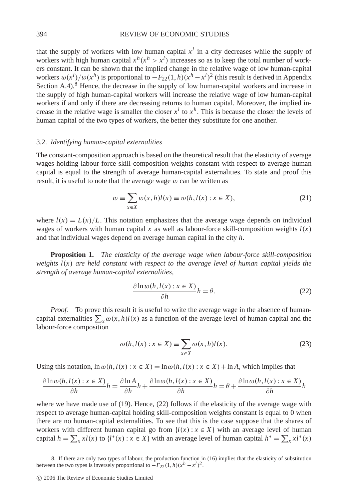that the supply of workers with low human capital  $x<sup>l</sup>$  in a city decreases while the supply of workers with high human capital  $x^h(x^h > x^l)$  increases so as to keep the total number of workers constant. It can be shown that the implied change in the relative wage of low human-capital workers  $w(x^l)$ / $w(x^h)$  is proportional to  $-F_{22}(1,h)(x^h - x^l)^2$  (this result is derived in Appendix Section A.4). $8$  Hence, the decrease in the supply of low human-capital workers and increase in the supply of high human-capital workers will increase the relative wage of low human-capital workers if and only if there are decreasing returns to human capital. Moreover, the implied increase in the relative wage is smaller the closer  $x^l$  to  $x^h$ . This is because the closer the levels of human capital of the two types of workers, the better they substitute for one another.

# 3.2. *Identifying human-capital externalities*

The constant-composition approach is based on the theoretical result that the elasticity of average wages holding labour-force skill-composition weights constant with respect to average human capital is equal to the strength of average human-capital externalities. To state and proof this result, it is useful to note that the average wage  $w$  can be written as

$$
w \equiv \sum_{x \in X} w(x, h)l(x) \equiv w(h, l(x) : x \in X), \tag{21}
$$

where  $l(x) = L(x)/L$ . This notation emphasizes that the average wage depends on individual wages of workers with human capital *x* as well as labour-force skill-composition weights  $l(x)$ and that individual wages depend on average human capital in the city *h*.

**Proposition 1.** *The elasticity of the average wage when labour-force skill-composition weights l*(*x*) *are held constant with respect to the average level of human capital yields the strength of average human-capital externalities,*

$$
\frac{\partial \ln w(h, l(x) : x \in X)}{\partial h} h = \theta.
$$
\n(22)

*Proof.* To prove this result it is useful to write the average wage in the absence of humancapital externalities  $\sum_{x} \omega(x, h)l(x)$  as a function of the average level of human capital and the labour-force composition

$$
\omega(h, l(x) : x \in X) \equiv \sum_{x \in X} \omega(x, h)l(x).
$$
 (23)

Using this notation,  $\ln w(h, l(x) : x \in X) = \ln \omega(h, l(x) : x \in X) + \ln A$ , which implies that

$$
\frac{\partial \ln w(h, l(x) : x \in X)}{\partial h} h = \frac{\partial \ln A}{\partial h} h + \frac{\partial \ln w(h, l(x) : x \in X)}{\partial h} h = \theta + \frac{\partial \ln w(h, l(x) : x \in X)}{\partial h} h
$$

where we have made use of (19). Hence, (22) follows if the elasticity of the average wage with respect to average human-capital holding skill-composition weights constant is equal to 0 when there are no human-capital externalities. To see that this is the case suppose that the shares of workers with different human capital go from  $\{l(x): x \in X\}$  with an average level of human capital  $h = \sum_{x} x l(x)$  to  $\{l^*(x) : x \in X\}$  with an average level of human capital  $h^* = \sum_{x} x l^*(x)$ 

8. If there are only two types of labour, the production function in (16) implies that the elasticity of substitution between the two types is inversely proportional to  $-F_{22}(1,h)(x^h - x^l)^2$ .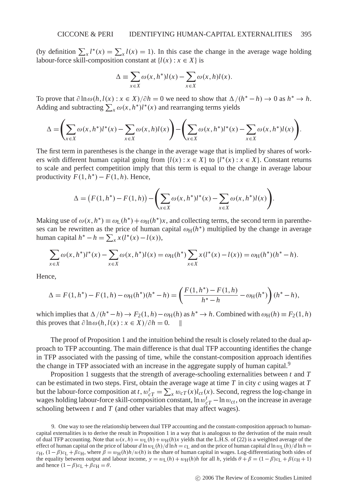(by definition  $\sum_{x} l^*(x) = \sum_{x} l(x) = 1$ ). In this case the change in the average wage holding labour-force skill-composition constant at  $\{l(x) : x \in X\}$  is

$$
\Delta \equiv \sum_{x \in X} \omega(x, h^*) l(x) - \sum_{x \in X} \omega(x, h) l(x).
$$

To prove that  $\partial \ln \omega(h, l(x) : x \in X)/\partial h = 0$  we need to show that  $\Delta/(h^* - h) \to 0$  as  $h^* \to h$ . Adding and subtracting  $\sum_{x} \omega(x, h^*) l^*(x)$  and rearranging terms yields

$$
\Delta = \left(\sum_{x \in X} \omega(x, h^*) l^*(x) - \sum_{x \in X} \omega(x, h) l(x)\right) - \left(\sum_{x \in X} \omega(x, h^*) l^*(x) - \sum_{x \in X} \omega(x, h^*) l(x)\right).
$$

The first term in parentheses is the change in the average wage that is implied by shares of workers with different human capital going from  $\{l(x) : x \in X\}$  to  $\{l^*(x) : x \in X\}$ . Constant returns to scale and perfect competition imply that this term is equal to the change in average labour productivity  $F(1, h^*) - F(1, h)$ . Hence,

$$
\Delta = (F(1, h^*) - F(1, h)) - \left(\sum_{x \in X} \omega(x, h^*) l^*(x) - \sum_{x \in X} \omega(x, h^*) l(x)\right).
$$

Making use of  $\omega(x, h^*) \equiv \omega_L(h^*) + \omega_H(h^*)x$ , and collecting terms, the second term in parentheses can be rewritten as the price of human capital  $\omega_H(h^*)$  multiplied by the change in average human capital  $h^* - h = \sum_x x(l^*(x) - l(x)),$ 

$$
\sum_{x \in X} \omega(x, h^*) l^*(x) - \sum_{x \in X} \omega(x, h^*) l(x) = \omega_H(h^*) \sum_{x \in X} x(l^*(x) - l(x)) = \omega_H(h^*)(h^* - h).
$$

Hence,

$$
\Delta = F(1, h^*) - F(1, h) - \omega_H(h^*)(h^* - h) = \left(\frac{F(1, h^*) - F(1, h)}{h^* - h} - \omega_H(h^*)\right)(h^* - h),
$$

which implies that  $\Delta/(h^* - h) \to F_2(1, h) - \omega_H(h)$  as  $h^* \to h$ . Combined with  $\omega_H(h) \equiv F_2(1, h)$ this proves that  $\partial \ln \omega(h, l(x) : x \in X)/\partial h = 0$ .

The proof of Proposition 1 and the intuition behind the result is closely related to the dual approach to TFP accounting. The main difference is that dual TFP accounting identifies the change in TFP associated with the passing of time, while the constant-composition approach identifies the change in TFP associated with an increase in the aggregate supply of human capital.<sup>9</sup>

Proposition 1 suggests that the strength of average-schooling externalities between *t* and *T* can be estimated in two steps. First, obtain the average wage at time *T* in city *c* using wages at *T* but the labour-force composition at *t*,  $w_{cT}^t = \sum_x w_{cT}(x)l_{ct}(x)$ . Second, regress the log-change in wages holding labour-force skill-composition constant,  $\ln w_{cT}^t - \ln w_{ct}$ , on the increase in average schooling between *t* and *T* (and other variables that may affect wages).

<sup>9.</sup> One way to see the relationship between dual TFP accounting and the constant-composition approach to humancapital externalities is to derive the result in Proposition 1 in a way that is analogous to the derivation of the main result of dual TFP accounting. Note that  $w(x, h) = w_L(h) + w_H(h)x$  yields that the L.H.S. of (22) is a weighted average of the effect of human capital on the price of labour *d* ln  $w_L(h)/d \ln h = \varepsilon_L$  and on the price of human capital *d* ln  $w_L(h)/d \ln h =$  $ε$ H,  $(1 - β)ε$ <sub>L</sub> + βε<sub>H</sub>, where  $β = w$ H(*h*)*h*/w(*h*) is the share of human capital in wages. Log-differentiating both sides of the equality between output and labour income,  $y = w_L(h) + w_H(h)h$  for all h, yields  $\theta + \beta = (1 - \beta)\varepsilon_L + \beta(\varepsilon_H + 1)$ and hence  $(1 - \beta)\varepsilon_L + \beta \varepsilon_H = \theta$ .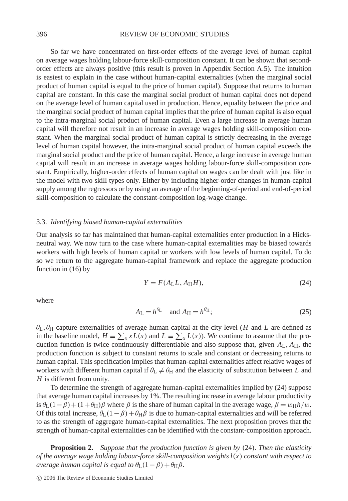# 396 REVIEW OF ECONOMIC STUDIES

So far we have concentrated on first-order effects of the average level of human capital on average wages holding labour-force skill-composition constant. It can be shown that secondorder effects are always positive (this result is proven in Appendix Section A.5). The intuition is easiest to explain in the case without human-capital externalities (when the marginal social product of human capital is equal to the price of human capital). Suppose that returns to human capital are constant. In this case the marginal social product of human capital does not depend on the average level of human capital used in production. Hence, equality between the price and the marginal social product of human capital implies that the price of human capital is also equal to the intra-marginal social product of human capital. Even a large increase in average human capital will therefore not result in an increase in average wages holding skill-composition constant. When the marginal social product of human capital is strictly decreasing in the average level of human capital however, the intra-marginal social product of human capital exceeds the marginal social product and the price of human capital. Hence, a large increase in average human capital will result in an increase in average wages holding labour-force skill-composition constant. Empirically, higher-order effects of human capital on wages can be dealt with just like in the model with two skill types only. Either by including higher-order changes in human-capital supply among the regressors or by using an average of the beginning-of-period and end-of-period skill-composition to calculate the constant-composition log-wage change.

# 3.3. *Identifying biased human-capital externalities*

Our analysis so far has maintained that human-capital externalities enter production in a Hicksneutral way. We now turn to the case where human-capital externalities may be biased towards workers with high levels of human capital or workers with low levels of human capital. To do so we return to the aggregate human-capital framework and replace the aggregate production function in (16) by

$$
Y = F(AL, AHH),
$$
\n(24)

where

$$
A_{\rm L} = h^{\theta_{\rm L}} \quad \text{and } A_{\rm H} = h^{\theta_{\rm H}}; \tag{25}
$$

 $\theta_L$ ,  $\theta_H$  capture externalities of average human capital at the city level (*H* and *L* are defined as in the baseline model,  $H = \sum_{x} x L(x)$  and  $L = \sum_{x} L(x)$ ). We continue to assume that the production function is twice continuously differentiable and also suppose that, given *A*L, *A*H, the production function is subject to constant returns to scale and constant or decreasing returns to human capital. This specification implies that human-capital externalities affect relative wages of workers with different human capital if  $\theta_L \neq \theta_H$  and the elasticity of substitution between *L* and *H* is different from unity.

To determine the strength of aggregate human-capital externalities implied by (24) suppose that average human capital increases by 1%. The resulting increase in average labour productivity is  $\theta_L(1-\beta)+(1+\theta_H)\beta$  where  $\beta$  is the share of human capital in the average wage,  $\beta = w_Hh/w$ . Of this total increase,  $\theta_L(1-\beta)+\theta_H\beta$  is due to human-capital externalities and will be referred to as the strength of aggregate human-capital externalities. The next proposition proves that the strength of human-capital externalities can be identified with the constant-composition approach.

**Proposition 2.** *Suppose that the production function is given by* (24)*. Then the elasticity of the average wage holding labour-force skill-composition weights l*(*x*) *constant with respect to average human capital is equal to*  $\theta_L(1-\beta) + \theta_H\beta$ .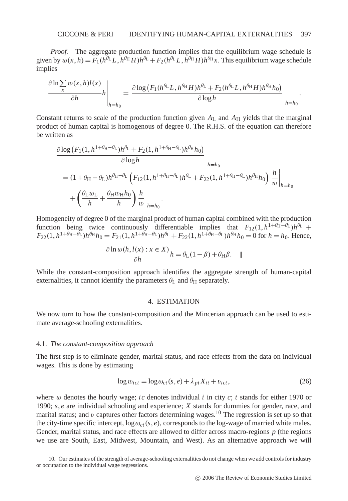*Proof.* The aggregate production function implies that the equilibrium wage schedule is given by  $w(x, h) = F_1(h^{\theta_L}L, h^{\theta_H}H)h^{\theta_L} + F_2(h^{\theta_L}L, h^{\theta_H}H)h^{\theta_H}x$ . This equilibrium wage schedule implies

$$
\frac{\partial \ln \sum_{x} w(x, h)l(x)}{\partial h} h = \frac{\partial \log (F_1(h^{\theta_L}L, h^{\theta_H}H)h^{\theta_L} + F_2(h^{\theta_L}L, h^{\theta_H}H)h^{\theta_H}h_0)}{\partial \log h}\Bigg|_{h=h_0}.
$$

Constant returns to scale of the production function given  $A_L$  and  $A_H$  yields that the marginal product of human capital is homogenous of degree 0. The R.H.S. of the equation can therefore be written as

$$
\frac{\partial \log (F_1(1, h^{1+\theta_H-\theta_L})h^{\theta_L} + F_2(1, h^{1+\theta_H-\theta_L})h^{\theta_H}h_0)}{\partial \log h}\Bigg|_{h=h_0}
$$
\n
$$
= (1+\theta_H-\theta_L)h^{\theta_H-\theta_L} \left( F_{12}(1, h^{1+\theta_H-\theta_L})h^{\theta_L} + F_{22}(1, h^{1+\theta_H-\theta_L})h^{\theta_H}h_0 \right) \frac{h}{w} \Bigg|_{h=h_0}
$$
\n
$$
+ \left( \frac{\theta_L w_L}{h} + \frac{\theta_H w_H h_0}{h} \right) \frac{h}{w} \Bigg|_{h=h_0}.
$$

Homogeneity of degree 0 of the marginal product of human capital combined with the production function being twice continuously differentiable implies that  $F_{12}(1, h^{1+\theta_H-\theta_L})h^{\theta_L}$  +  $F_{22}(1, h^{1+\theta_H-\theta_L})h^{\theta_H}h_0 = F_{21}(1, h^{1+\theta_H-\theta_L})h^{\theta_L} + F_{22}(1, h^{1+\theta_H-\theta_L})h^{\theta_H}h_0 = 0$  for  $h = h_0$ . Hence,

$$
\frac{\partial \ln w(h, l(x) : x \in X)}{\partial h} h = \theta_{\text{L}}(1 - \beta) + \theta_{\text{H}}\beta. \quad \|
$$

While the constant-composition approach identifies the aggregate strength of human-capital externalities, it cannot identify the parameters  $\theta_L$  and  $\theta_H$  separately.

# 4. ESTIMATION

We now turn to how the constant-composition and the Mincerian approach can be used to estimate average-schooling externalities.

## 4.1. *The constant-composition approach*

The first step is to eliminate gender, marital status, and race effects from the data on individual wages. This is done by estimating

$$
\log w_{ict} = \log \omega_{ct}(s, e) + \lambda_{pt} X_{it} + v_{ict},\tag{26}
$$

where w denotes the hourly wage; *ic* denotes individual *i* in city *c*; *t* stands for either 1970 or 1990; *s*, *e* are individual schooling and experience; *X* stands for dummies for gender, race, and marital status; and  $v$  captures other factors determining wages.<sup>10</sup> The regression is set up so that the city-time specific intercept,  $\log \omega_{ct}(s, e)$ , corresponds to the log-wage of married white males. Gender, marital status, and race effects are allowed to differ across macro-regions *p* (the regions we use are South, East, Midwest, Mountain, and West). As an alternative approach we will

<sup>10.</sup> Our estimates of the strength of average-schooling externalities do not change when we add controls for industry or occupation to the individual wage regressions.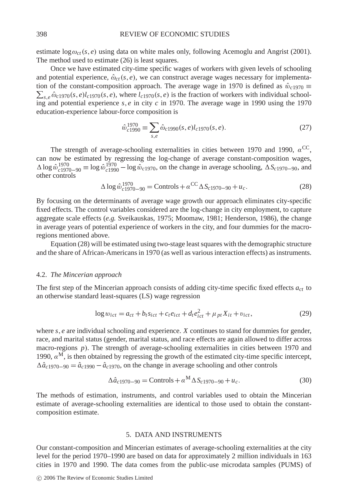estimate  $\log \omega_{ct}(s, e)$  using data on white males only, following Acemoglu and Angrist (2001). The method used to estimate (26) is least squares.

Once we have estimated city-time specific wages of workers with given levels of schooling and potential experience,  $\hat{\omega}_{ct}(s, e)$ , we can construct average wages necessary for implementa- $\sum_{s,e} \hat{\omega}_{c1970}(s,e) l_{c1970}(s,e)$ , where  $l_{c1970}(s,e)$  is the fraction of workers with individual schooltion of the constant-composition approach. The average wage in 1970 is defined as  $\hat{w}_{c}$ <sub>1970</sub> ≡ ing and potential experience *s*, *e* in city *c* in 1970. The average wage in 1990 using the 1970 education-experience labour-force composition is

$$
\hat{w}_{c1990}^{1970} \equiv \sum_{s,e} \hat{\omega}_{c1990}(s,e)l_{c1970}(s,e). \tag{27}
$$

The strength of average-schooling externalities in cities between 1970 and 1990,  $\alpha^{\text{CC}}$ , can now be estimated by regressing the log-change of average constant-composition wages,  $\Delta \log \hat{w}_{c1970-90}^{1970}$  ≡ log  $\hat{w}_{c1990}^{1970}$  – log  $\hat{w}_{c1970}$ , on the change in average schooling,  $\Delta S_{c1970-90}$ , and other controls

$$
\Delta \log \hat{w}_{c1970-90}^{1970} = \text{Controls} + \alpha^{\text{CC}} \Delta S_{c1970-90} + u_c. \tag{28}
$$

By focusing on the determinants of average wage growth our approach eliminates city-specific fixed effects. The control variables considered are the log-change in city employment, to capture aggregate scale effects (*e.g.* Sveikauskas, 1975; Moomaw, 1981; Henderson, 1986), the change in average years of potential experience of workers in the city, and four dummies for the macroregions mentioned above.

Equation (28) will be estimated using two-stage least squares with the demographic structure and the share of African-Americans in 1970 (as well as various interaction effects) as instruments.

## 4.2. *The Mincerian approach*

The first step of the Mincerian approach consists of adding city-time specific fixed effects *act* to an otherwise standard least-squares (LS) wage regression

$$
\log w_{ict} = a_{ct} + b_t s_{ict} + c_t e_{ict} + d_t e_{ict}^2 + \mu_{pt} X_{it} + v_{ict},
$$
\n(29)

where *s*, *e* are individual schooling and experience. *X* continues to stand for dummies for gender, race, and marital status (gender, marital status, and race effects are again allowed to differ across macro-regions *p*). The strength of average-schooling externalities in cities between 1970 and 1990,  $\alpha^M$ , is then obtained by regressing the growth of the estimated city-time specific intercept,  $\Delta \hat{a}_{c1970-90} = \hat{a}_{c1990} - \hat{a}_{c1970}$ , on the change in average schooling and other controls

$$
\Delta \hat{a}_{c1970-90} = \text{Controls} + \alpha^{\text{M}} \Delta S_{c1970-90} + u_c. \tag{30}
$$

The methods of estimation, instruments, and control variables used to obtain the Mincerian estimate of average-schooling externalities are identical to those used to obtain the constantcomposition estimate.

# 5. DATA AND INSTRUMENTS

Our constant-composition and Mincerian estimates of average-schooling externalities at the city level for the period 1970–1990 are based on data for approximately 2 million individuals in 163 cities in 1970 and 1990. The data comes from the public-use microdata samples (PUMS) of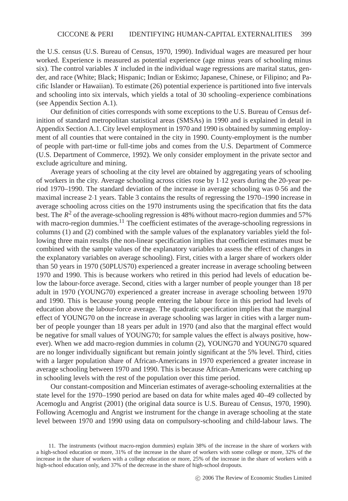the U.S. census (U.S. Bureau of Census, 1970, 1990). Individual wages are measured per hour worked. Experience is measured as potential experience (age minus years of schooling minus six). The control variables *X* included in the individual wage regressions are marital status, gender, and race (White; Black; Hispanic; Indian or Eskimo; Japanese, Chinese, or Filipino; and Pacific Islander or Hawaiian). To estimate (26) potential experience is partitioned into five intervals and schooling into six intervals, which yields a total of 30 schooling–experience combinations (see Appendix Section A.1).

Our definition of cities corresponds with some exceptions to the U.S. Bureau of Census definition of standard metropolitan statistical areas (SMSAs) in 1990 and is explained in detail in Appendix Section A.1. City level employment in 1970 and 1990 is obtained by summing employment of all counties that were contained in the city in 1990. County-employment is the number of people with part-time or full-time jobs and comes from the U.S. Department of Commerce (U.S. Department of Commerce, 1992). We only consider employment in the private sector and exclude agriculture and mining.

Average years of schooling at the city level are obtained by aggregating years of schooling of workers in the city. Average schooling across cities rose by  $1.12$  years during the 20-year period 1970–1990. The standard deviation of the increase in average schooling was 0·56 and the maximal increase 2·1 years. Table 3 contains the results of regressing the 1970–1990 increase in average schooling across cities on the 1970 instruments using the specification that fits the data best. The  $R^2$  of the average-schooling regression is 48% without macro-region dummies and 57% with macro-region dummies.<sup>11</sup> The coefficient estimates of the average-schooling regressions in columns (1) and (2) combined with the sample values of the explanatory variables yield the following three main results (the non-linear specification implies that coefficient estimates must be combined with the sample values of the explanatory variables to assess the effect of changes in the explanatory variables on average schooling). First, cities with a larger share of workers older than 50 years in 1970 (50PLUS70) experienced a greater increase in average schooling between 1970 and 1990. This is because workers who retired in this period had levels of education below the labour-force average. Second, cities with a larger number of people younger than 18 per adult in 1970 (YOUNG70) experienced a greater increase in average schooling between 1970 and 1990. This is because young people entering the labour force in this period had levels of education above the labour-force average. The quadratic specification implies that the marginal effect of YOUNG70 on the increase in average schooling was larger in cities with a larger number of people younger than 18 years per adult in 1970 (and also that the marginal effect would be negative for small values of YOUNG70; for sample values the effect is always positive, however). When we add macro-region dummies in column (2), YOUNG70 and YOUNG70 squared are no longer individually significant but remain jointly significant at the 5% level. Third, cities with a larger population share of African-Americans in 1970 experienced a greater increase in average schooling between 1970 and 1990. This is because African-Americans were catching up in schooling levels with the rest of the population over this time period.

Our constant-composition and Mincerian estimates of average-schooling externalities at the state level for the 1970–1990 period are based on data for white males aged 40–49 collected by Acemoglu and Angrist (2001) (the original data source is U.S. Bureau of Census, 1970, 1990). Following Acemoglu and Angrist we instrument for the change in average schooling at the state level between 1970 and 1990 using data on compulsory-schooling and child-labour laws. The

<sup>11.</sup> The instruments (without macro-region dummies) explain 38% of the increase in the share of workers with a high-school education or more, 31% of the increase in the share of workers with some college or more, 32% of the increase in the share of workers with a college education or more, 25% of the increase in the share of workers with a high-school education only, and 37% of the decrease in the share of high-school dropouts.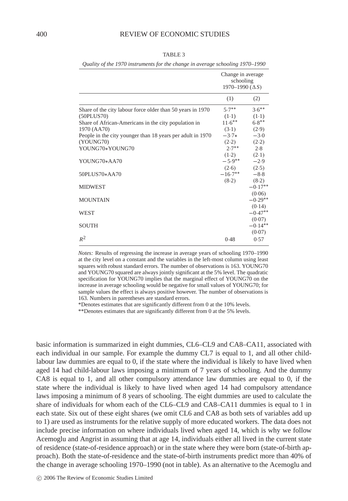|                                                                                                                                                                                                                                                                                                               | Change in average<br>schooling<br>$1970 - 1990 (\Delta S)$                                                                   |                                                                                                                                                                             |
|---------------------------------------------------------------------------------------------------------------------------------------------------------------------------------------------------------------------------------------------------------------------------------------------------------------|------------------------------------------------------------------------------------------------------------------------------|-----------------------------------------------------------------------------------------------------------------------------------------------------------------------------|
|                                                                                                                                                                                                                                                                                                               | (1)                                                                                                                          | (2)                                                                                                                                                                         |
| Share of the city labour force older than 50 years in 1970<br>(50PLUS70)<br>Share of African-Americans in the city population in<br>1970 (AA70)<br>People in the city younger than 18 years per adult in 1970<br>(YOUNG70)<br>YOUNG70*YOUNG70<br>YOUNG70*AA70<br>50PLUS70*AA70<br>MIDWEST<br>MOUNTAIN<br>WEST | $5.7***$<br>$(1-1)$<br>$11.6***$<br>$(3-1)$<br>$-3.7*$<br>$2.7**$<br>$-5.9***$ $-2.9$<br>(2.6)<br>$-16.7***$ $-8.8$<br>(8.2) | $3.6***$<br>$(1-1)$<br>$6.8**$<br>(2.9)<br>$-3.0$<br>$(2.2)$ $(2.2)$<br>2.8<br>$(1-2)$ $(2-1)$<br>(2.5)<br>(8.2)<br>$-0.17**$<br>(0.06)<br>$-0.29**$<br>(0.14)<br>$-0.47**$ |
| SOUTH                                                                                                                                                                                                                                                                                                         |                                                                                                                              | (0.07)<br>$-0.14**$                                                                                                                                                         |
| $R^2$                                                                                                                                                                                                                                                                                                         | 0.48                                                                                                                         | (0.07)<br>0.57                                                                                                                                                              |

TABLE 3

*Quality of the 1970 instruments for the change in average schooling 1970–1990*

*Notes:* Results of regressing the increase in average years of schooling 1970–1990 at the city level on a constant and the variables in the left-most column using least squares with robust standard errors. The number of observations is 163. YOUNG70 and YOUNG70 squared are always jointly significant at the 5% level. The quadratic specification for YOUNG70 implies that the marginal effect of YOUNG70 on the increase in average schooling would be negative for small values of YOUNG70; for sample values the effect is always positive however. The number of observations is 163. Numbers in parentheses are standard errors.

\*Denotes estimates that are significantly different from 0 at the 10% levels.

\*\*Denotes estimates that are significantly different from 0 at the 5% levels.

basic information is summarized in eight dummies, CL6–CL9 and CA8–CA11, associated with each individual in our sample. For example the dummy CL7 is equal to 1, and all other childlabour law dummies are equal to 0, if the state where the individual is likely to have lived when aged 14 had child-labour laws imposing a minimum of 7 years of schooling. And the dummy CA8 is equal to 1, and all other compulsory attendance law dummies are equal to 0, if the state where the individual is likely to have lived when aged 14 had compulsory attendance laws imposing a minimum of 8 years of schooling. The eight dummies are used to calculate the share of individuals for whom each of the CL6–CL9 and CA8–CA11 dummies is equal to 1 in each state. Six out of these eight shares (we omit CL6 and CA8 as both sets of variables add up to 1) are used as instruments for the relative supply of more educated workers. The data does not include precise information on where individuals lived when aged 14, which is why we follow Acemoglu and Angrist in assuming that at age 14, individuals either all lived in the current state of residence (state-of-residence approach) or in the state where they were born (state-of-birth approach). Both the state-of-residence and the state-of-birth instruments predict more than 40% of the change in average schooling 1970–1990 (not in table). As an alternative to the Acemoglu and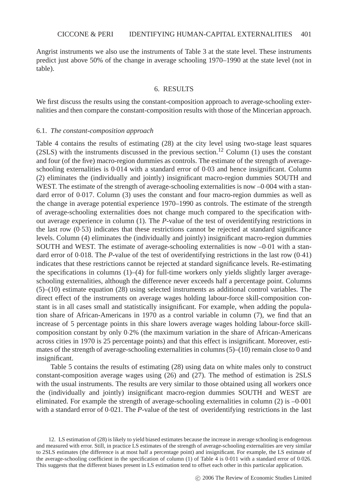Angrist instruments we also use the instruments of Table 3 at the state level. These instruments predict just above 50% of the change in average schooling 1970–1990 at the state level (not in table).

# 6. RESULTS

We first discuss the results using the constant-composition approach to average-schooling externalities and then compare the constant-composition results with those of the Mincerian approach.

# 6.1. *The constant-composition approach*

Table 4 contains the results of estimating (28) at the city level using two-stage least squares (2SLS) with the instruments discussed in the previous section.<sup>12</sup> Column (1) uses the constant and four (of the five) macro-region dummies as controls. The estimate of the strength of averageschooling externalities is 0·014 with a standard error of 0·03 and hence insignificant. Column (2) eliminates the (individually and jointly) insignificant macro-region dummies SOUTH and WEST. The estimate of the strength of average-schooling externalities is now  $-0.004$  with a standard error of 0.017. Column (3) uses the constant and four macro-region dummies as well as the change in average potential experience 1970–1990 as controls. The estimate of the strength of average-schooling externalities does not change much compared to the specification without average experience in column (1). The *P*-value of the test of overidentifying restrictions in the last row (0·53) indicates that these restrictions cannot be rejected at standard significance levels. Column (4) eliminates the (individually and jointly) insignificant macro-region dummies SOUTH and WEST. The estimate of average-schooling externalities is now –0·01 with a standard error of 0·018. The *P*-value of the test of overidentifying restrictions in the last row (0·41) indicates that these restrictions cannot be rejected at standard significance levels. Re-estimating the specifications in columns  $(1)$ – $(4)$  for full-time workers only yields slightly larger averageschooling externalities, although the difference never exceeds half a percentage point. Columns (5)–(10) estimate equation (28) using selected instruments as additional control variables. The direct effect of the instruments on average wages holding labour-force skill-composition constant is in all cases small and statistically insignificant. For example, when adding the population share of African-Americans in 1970 as a control variable in column (7), we find that an increase of 5 percentage points in this share lowers average wages holding labour-force skillcomposition constant by only 0·2% (the maximum variation in the share of African-Americans across cities in 1970 is 25 percentage points) and that this effect is insignificant. Moreover, estimates of the strength of average-schooling externalities in columns  $(5)$ – $(10)$  remain close to 0 and insignificant.

Table 5 contains the results of estimating (28) using data on white males only to construct constant-composition average wages using (26) and (27). The method of estimation is 2SLS with the usual instruments. The results are very similar to those obtained using all workers once the (individually and jointly) insignificant macro-region dummies SOUTH and WEST are eliminated. For example the strength of average-schooling externalities in column  $(2)$  is  $-0.001$ with a standard error of 0.021. The *P*-value of the test of overidentifying restrictions in the last

<sup>12.</sup> LS estimation of (28) is likely to yield biased estimates because the increase in average schooling is endogenous and measured with error. Still, in practice LS estimates of the strength of average-schooling externalities are very similar to 2SLS estimates (the difference is at most half a percentage point) and insignificant. For example, the LS estimate of the average-schooling coefficient in the specification of column (1) of Table 4 is 0·011 with a standard error of 0·026. This suggests that the different biases present in LS estimation tend to offset each other in this particular application.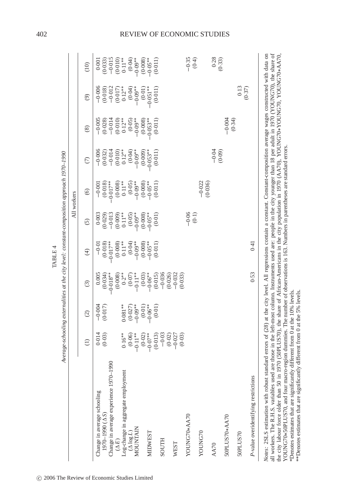|                                            |                                                                                                                                                                         |                      |                                                 |                                                                                              |                                                                                                      | All workers                                                   |                                                                                                                                                                                                                                          |                                                                                                                                                                                                                                                                                             |                                                                                                                                                                                                                                                                                                                                    |                                                                                                                                                                                                                                                                                                                                                                                                                 |
|--------------------------------------------|-------------------------------------------------------------------------------------------------------------------------------------------------------------------------|----------------------|-------------------------------------------------|----------------------------------------------------------------------------------------------|------------------------------------------------------------------------------------------------------|---------------------------------------------------------------|------------------------------------------------------------------------------------------------------------------------------------------------------------------------------------------------------------------------------------------|---------------------------------------------------------------------------------------------------------------------------------------------------------------------------------------------------------------------------------------------------------------------------------------------|------------------------------------------------------------------------------------------------------------------------------------------------------------------------------------------------------------------------------------------------------------------------------------------------------------------------------------|-----------------------------------------------------------------------------------------------------------------------------------------------------------------------------------------------------------------------------------------------------------------------------------------------------------------------------------------------------------------------------------------------------------------|
|                                            | $\widehat{\Xi}$                                                                                                                                                         | $\widehat{\odot}$    | $\odot$                                         | $\widehat{\mathcal{F}}$                                                                      | $\overline{6}$                                                                                       | $\odot$                                                       | $\widehat{C}$                                                                                                                                                                                                                            | $\circledS$                                                                                                                                                                                                                                                                                 | $\widehat{\Theta}$                                                                                                                                                                                                                                                                                                                 | (10)                                                                                                                                                                                                                                                                                                                                                                                                            |
| Change in average schooling                |                                                                                                                                                                         |                      |                                                 |                                                                                              |                                                                                                      |                                                               |                                                                                                                                                                                                                                          |                                                                                                                                                                                                                                                                                             |                                                                                                                                                                                                                                                                                                                                    |                                                                                                                                                                                                                                                                                                                                                                                                                 |
| 1970-1990 (AS)                             | (6.03)                                                                                                                                                                  | $-0.004$<br>(0.017)  | $-0.005$<br>$(0.034)$<br>$-0.018**$             |                                                                                              |                                                                                                      |                                                               |                                                                                                                                                                                                                                          |                                                                                                                                                                                                                                                                                             |                                                                                                                                                                                                                                                                                                                                    |                                                                                                                                                                                                                                                                                                                                                                                                                 |
| 990<br>Change in average experience 1970-1 |                                                                                                                                                                         |                      |                                                 | $\begin{array}{r} -0.01 \\ -0.018 \\ (0.018) \\ -0.017^{**} \\ (0.008) \\ 0.008 \end{array}$ | $\begin{array}{c} 0.003 \\ -0.029) \\ -0.013 \\ 0.009) \\ 0.009) \\ 0.009* \\ 0.009* \\ \end{array}$ | $-0.001$<br>$(0.018)$<br>$-0.017**$<br>$(0.008)$<br>$(0.008)$ | 06<br>0.032)<br>0.032)<br>0.000 = 0.000<br>0.000 = 0.000<br>0.000 = 0.000 = 0.000 = 0.000 = 0.000 = 0.000 = 0.000 = 0.000 = 0.000 = 0.000 = 0.000 = 0.000 = 0.000 = 0.000 = 0.000 = 0.000 = 0.000 = 0.000 = 0.000 = 0.000 = 0.000 = 0.00 |                                                                                                                                                                                                                                                                                             | $\begin{array}{r} -0.006 \\ -0.012 \\ -0.017 \\ -0.017 \\ -0.017 \\ -0.017 \\ -0.017 \\ -0.017 \\ -0.017 \\ -0.017 \\ -0.017 \\ -0.017 \\ -0.017 \\ -0.017 \\ -0.017 \\ -0.017 \\ -0.017 \\ -0.017 \\ -0.017 \\ -0.017 \\ -0.017 \\ -0.017 \\ -0.017 \\ -0.017 \\ -0.017 \\ -0.017 \\ -0.017 \\ -0.017 \\ -0.017 \\ -0.017 \\ -0.$ |                                                                                                                                                                                                                                                                                                                                                                                                                 |
| $(\Delta E)$                               |                                                                                                                                                                         |                      |                                                 |                                                                                              |                                                                                                      |                                                               |                                                                                                                                                                                                                                          |                                                                                                                                                                                                                                                                                             |                                                                                                                                                                                                                                                                                                                                    |                                                                                                                                                                                                                                                                                                                                                                                                                 |
| Log-change in aggregate employment         |                                                                                                                                                                         | $0.081***$           |                                                 |                                                                                              |                                                                                                      |                                                               |                                                                                                                                                                                                                                          |                                                                                                                                                                                                                                                                                             |                                                                                                                                                                                                                                                                                                                                    |                                                                                                                                                                                                                                                                                                                                                                                                                 |
| $(\Delta \log L)$                          | $0.16**$<br>$(0.06)$<br>$-0.11**$                                                                                                                                       | $(0.027)$<br>-0.09** | $(0.008)$<br>$0.2$ **<br>$(0.07)$<br>$-0.1$ **  |                                                                                              |                                                                                                      |                                                               |                                                                                                                                                                                                                                          |                                                                                                                                                                                                                                                                                             |                                                                                                                                                                                                                                                                                                                                    |                                                                                                                                                                                                                                                                                                                                                                                                                 |
| <b>MOUNTAIN</b>                            |                                                                                                                                                                         |                      |                                                 |                                                                                              |                                                                                                      |                                                               |                                                                                                                                                                                                                                          |                                                                                                                                                                                                                                                                                             |                                                                                                                                                                                                                                                                                                                                    |                                                                                                                                                                                                                                                                                                                                                                                                                 |
|                                            |                                                                                                                                                                         |                      |                                                 |                                                                                              | $(0.008)$<br>$0.05**$                                                                                |                                                               | $(0.009)$<br>0.053**                                                                                                                                                                                                                     |                                                                                                                                                                                                                                                                                             | $-0.051$ **                                                                                                                                                                                                                                                                                                                        |                                                                                                                                                                                                                                                                                                                                                                                                                 |
| <b>NIDWEST</b>                             | $\begin{array}{c} (0 \cdot 02) \\ (0 \cdot 07^{**} \\ (0 \cdot 013) \\ (0 \cdot 0.02) \\ (0 \cdot 0.27 \\ (0 \cdot 0.2) \\ (0 \cdot 0.02) \\ (0 \cdot 0.3) \end{array}$ | $(0.01)$<br>-0.06**  | $-0.06**$<br>$-0.06**$<br>$(0.015)$<br>$-0.036$ | $\begin{array}{c} (0.04) \\ -0.09^{**} \\ (0.008) \\ -0.05^{**} \\ (0.011) \end{array}$      |                                                                                                      | $(0.05)$<br>$-0.09**$<br>$(0.008)$<br>$-0.05**$<br>$(0.011)$  |                                                                                                                                                                                                                                          | $\begin{array}{l} 0.005 \\ 0.0028 \\ 0.0028 \\ 0.004 \\ 0.0000 \\ 0.0000 \\ 0.0000 \\ 0.0000 \\ 0.0000 \\ 0.0000 \\ 0.0000 \\ 0.0000 \\ 0.0000 \\ 0.0000 \\ 0.0000 \\ 0.0000 \\ 0.0000 \\ 0.0000 \\ 0.0000 \\ 0.0000 \\ 0.0000 \\ 0.0000 \\ 0.0000 \\ 0.0000 \\ 0.0000 \\ 0.0000 \\ 0.0000$ |                                                                                                                                                                                                                                                                                                                                    | $\begin{array}{c} (110 \cdot 0) \\ (6 \cdot 0) \\ (7 \cdot 0) \\ (8 \cdot 0) \\ (9 \cdot 0) \\ (11 \cdot 0) \\ (11 \cdot 0) \\ (11 \cdot 0) \\ (11 \cdot 0) \\ (11 \cdot 0) \\ (11 \cdot 0) \\ (11 \cdot 0) \\ (11 \cdot 0) \\ (11 \cdot 0) \\ (11 \cdot 0) \\ (11 \cdot 0) \\ (11 \cdot 0) \\ (11 \cdot 0) \\ (11 \cdot 0) \\ (11 \cdot 0) \\ (11 \cdot 0) \\ (11 \cdot 0) \\ (11 \cdot 0) \\ (11 \cdot 0) \\$ |
|                                            |                                                                                                                                                                         | (0.01)               |                                                 |                                                                                              | (0.01)                                                                                               |                                                               | (0.011)                                                                                                                                                                                                                                  |                                                                                                                                                                                                                                                                                             | (0.011)                                                                                                                                                                                                                                                                                                                            |                                                                                                                                                                                                                                                                                                                                                                                                                 |
| <b>RILIOS</b>                              |                                                                                                                                                                         |                      |                                                 |                                                                                              |                                                                                                      |                                                               |                                                                                                                                                                                                                                          |                                                                                                                                                                                                                                                                                             |                                                                                                                                                                                                                                                                                                                                    |                                                                                                                                                                                                                                                                                                                                                                                                                 |
|                                            |                                                                                                                                                                         |                      |                                                 |                                                                                              |                                                                                                      |                                                               |                                                                                                                                                                                                                                          |                                                                                                                                                                                                                                                                                             |                                                                                                                                                                                                                                                                                                                                    |                                                                                                                                                                                                                                                                                                                                                                                                                 |
| <b>WEST</b>                                |                                                                                                                                                                         |                      | $(0.026)$<br>$-0.032$<br>$(0.033)$              |                                                                                              |                                                                                                      |                                                               |                                                                                                                                                                                                                                          |                                                                                                                                                                                                                                                                                             |                                                                                                                                                                                                                                                                                                                                    |                                                                                                                                                                                                                                                                                                                                                                                                                 |
|                                            |                                                                                                                                                                         |                      |                                                 |                                                                                              |                                                                                                      |                                                               |                                                                                                                                                                                                                                          |                                                                                                                                                                                                                                                                                             |                                                                                                                                                                                                                                                                                                                                    |                                                                                                                                                                                                                                                                                                                                                                                                                 |
| YOUNG70*AA70                               |                                                                                                                                                                         |                      |                                                 |                                                                                              | $-0.06$<br>(0.1)                                                                                     |                                                               |                                                                                                                                                                                                                                          |                                                                                                                                                                                                                                                                                             |                                                                                                                                                                                                                                                                                                                                    | $-0.35$<br>$(0.4)$                                                                                                                                                                                                                                                                                                                                                                                              |
|                                            |                                                                                                                                                                         |                      |                                                 |                                                                                              |                                                                                                      |                                                               |                                                                                                                                                                                                                                          |                                                                                                                                                                                                                                                                                             |                                                                                                                                                                                                                                                                                                                                    |                                                                                                                                                                                                                                                                                                                                                                                                                 |
| YOUNG70                                    |                                                                                                                                                                         |                      |                                                 |                                                                                              |                                                                                                      | $-0.022$<br>$(0.036)$                                         |                                                                                                                                                                                                                                          |                                                                                                                                                                                                                                                                                             |                                                                                                                                                                                                                                                                                                                                    |                                                                                                                                                                                                                                                                                                                                                                                                                 |
| <b>AA70</b>                                |                                                                                                                                                                         |                      |                                                 |                                                                                              |                                                                                                      |                                                               | $-0.0000$                                                                                                                                                                                                                                |                                                                                                                                                                                                                                                                                             |                                                                                                                                                                                                                                                                                                                                    | $\frac{0.28}{(0.33)}$                                                                                                                                                                                                                                                                                                                                                                                           |
|                                            |                                                                                                                                                                         |                      |                                                 |                                                                                              |                                                                                                      |                                                               |                                                                                                                                                                                                                                          |                                                                                                                                                                                                                                                                                             |                                                                                                                                                                                                                                                                                                                                    |                                                                                                                                                                                                                                                                                                                                                                                                                 |
| 50PLUS70*AA70                              |                                                                                                                                                                         |                      |                                                 |                                                                                              |                                                                                                      |                                                               |                                                                                                                                                                                                                                          | $-0.34$ )                                                                                                                                                                                                                                                                                   |                                                                                                                                                                                                                                                                                                                                    |                                                                                                                                                                                                                                                                                                                                                                                                                 |
| 50PLUS70                                   |                                                                                                                                                                         |                      |                                                 |                                                                                              |                                                                                                      |                                                               |                                                                                                                                                                                                                                          |                                                                                                                                                                                                                                                                                             |                                                                                                                                                                                                                                                                                                                                    |                                                                                                                                                                                                                                                                                                                                                                                                                 |
|                                            |                                                                                                                                                                         |                      |                                                 |                                                                                              |                                                                                                      |                                                               |                                                                                                                                                                                                                                          |                                                                                                                                                                                                                                                                                             | (0.37)                                                                                                                                                                                                                                                                                                                             |                                                                                                                                                                                                                                                                                                                                                                                                                 |
| P-value overidentifying restrictions       |                                                                                                                                                                         |                      | 0.53                                            | 0.41                                                                                         |                                                                                                      |                                                               |                                                                                                                                                                                                                                          |                                                                                                                                                                                                                                                                                             |                                                                                                                                                                                                                                                                                                                                    |                                                                                                                                                                                                                                                                                                                                                                                                                 |

all workers. The R.H.S. variables used are those in the left-most column. Instruments used are: people in the city younger than 18 per adult in 1970 (YOUNG70), the share of<br>the city labour force older than 50 in 1970 (50PL *Notes*: 2SLS estimation with robust standard errors of (28) at the city level. All regressions contain a constant-composition average wages constructed with data on all workers. The R.H.S. variables used are those in the left-most column. Instruments used are: people in the city younger than 18 per adult in 1970 (YOUNG70), the share of the city labour force older than 50 in 1970 (50PLUS70), the share of African-Americans in the city population in 1970 (AA70), YOUNG70∗YOUNG70∗AA70, YOUNG70∗A70, YOUNG70\*S0PLUS70, and four macro-region dummies. The number of observations is 163. Numbers in parentheses are standard errors. YOUNG70∗50PLUS70, and four macro-region dummies. The number of observations is 163. Numbers in parentheses are standard errors. \*Denotes estimates that are significantly different from 0 at the 10% levels. \*Denotes estimates that are significantly different from 0 at the 10% levels.

\*\*Denotes estimates that are significantly different from 0 at the 5% levels.

\*\*Denotes estimates that are significantly different from 0 at the 5% levels.

c 2006 The Review of Economic Studies Limited

TABLE 4

TABLE 4

# 402 REVIEW OF ECONOMIC STUDIES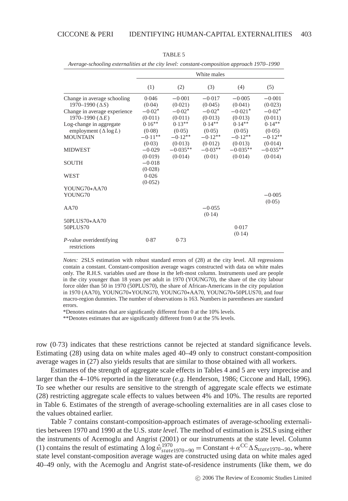|                                         |           |            | White males |            |            |
|-----------------------------------------|-----------|------------|-------------|------------|------------|
|                                         | (1)       | (2)        | (3)         | (4)        | (5)        |
| Change in average schooling             | 0.046     | $-0.001$   | $-0.017$    | $-0.005$   | $-0.001$   |
| $1970 - 1990$ ( $\Delta S$ )            | (0.04)    | (0.021)    | (0.045)     | (0.041)    | (0.023)    |
| Change in average experience            | $-0.02*$  | $-0.02*$   | $-0.02*$    | $-0.021*$  | $-0.02*$   |
| 1970–1990 $(\Delta E)$                  | (0.011)   | (0.011)    | (0.013)     | (0.013)    | (0.011)    |
| Log-change in aggregate                 | $0.16**$  | $0.13**$   | $0.14**$    | $0.14**$   | $0.14**$   |
| employment $(\Delta \log L)$            | (0.08)    | (0.05)     | (0.05)      | (0.05)     | (0.05)     |
| <b>MOUNTAIN</b>                         | $-0.11**$ | $-0.12**$  | $-0.12**$   | $-0.12**$  | $-0.12**$  |
|                                         | (0.03)    | (0.013)    | (0.012)     | (0.013)    | (0.014)    |
| <b>MIDWEST</b>                          | $-0.029$  | $-0.035**$ | $-0.03**$   | $-0.035**$ | $-0.035**$ |
|                                         | (0.019)   | (0.014)    | (0.01)      | (0.014)    | (0.014)    |
| <b>SOUTH</b>                            | $-0.018$  |            |             |            |            |
|                                         | (0.028)   |            |             |            |            |
| <b>WEST</b>                             | 0.026     |            |             |            |            |
|                                         | (0.052)   |            |             |            |            |
| YOUNG70*AA70                            |           |            |             |            |            |
| YOUNG70                                 |           |            |             |            | $-0.005$   |
|                                         |           |            |             |            | (0.05)     |
| AA70                                    |           |            | $-0.055$    |            |            |
|                                         |           |            | (0.14)      |            |            |
| 50PLUS70*AA70                           |           |            |             |            |            |
| 50PLUS70                                |           |            |             | 0.017      |            |
|                                         |           |            |             | (0.14)     |            |
| P-value overidentifying<br>restrictions | 0.87      | 0.73       |             |            |            |

TABLE 5 *Average-schooling externalities at the city level: constant-composition approach 1970–1990*

*Notes:* 2SLS estimation with robust standard errors of (28) at the city level. All regressions contain a constant. Constant-composition average wages constructed with data on white males only. The R.H.S. variables used are those in the left-most column. Instruments used are people in the city younger than 18 years per adult in 1970 (YOUNG70), the share of the city labour force older than 50 in 1970 (50PLUS70), the share of African-Americans in the city population in 1970 (AA70), YOUNG70∗YOUNG70, YOUNG70∗AA70, YOUNG70∗50PLUS70, and four macro-region dummies. The number of observations is 163. Numbers in parentheses are standard errors.

\*Denotes estimates that are significantly different from 0 at the 10% levels.

\*\*Denotes estimates that are significantly different from 0 at the 5% levels.

row (0·73) indicates that these restrictions cannot be rejected at standard significance levels. Estimating (28) using data on white males aged 40–49 only to construct constant-composition average wages in (27) also yields results that are similar to those obtained with all workers.

Estimates of the strength of aggregate scale effects in Tables 4 and 5 are very imprecise and larger than the 4–10% reported in the literature (*e.g.* Henderson, 1986; Ciccone and Hall, 1996). To see whether our results are sensitive to the strength of aggregate scale effects we estimate (28) restricting aggregate scale effects to values between 4% and 10%. The results are reported in Table 6. Estimates of the strength of average-schooling externalities are in all cases close to the values obtained earlier.

Table 7 contains constant-composition-approach estimates of average-schooling externalities between 1970 and 1990 at the U.S. *state level*. The method of estimation is 2SLS using either the instruments of Acemoglu and Angrist (2001) or our instruments at the state level. Column (1) contains the result of estimating  $\Delta \log \hat{w}_{state1970-90}^{1970} = \text{Constant} + \alpha^{\text{CC}} \Delta S_{state1970-90}$ , where state level constant-composition average wages are constructed using data on white males aged 40–49 only, with the Acemoglu and Angrist state-of-residence instruments (like them, we do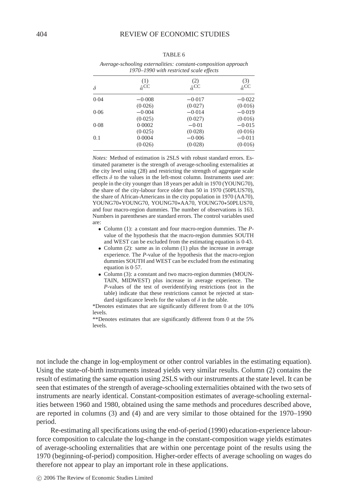|          |                                | 1970-1990 with restricted scale effects |                                |
|----------|--------------------------------|-----------------------------------------|--------------------------------|
| $\delta$ | (1)<br>$\hat{\alpha}^{\rm CC}$ | (2)<br>$\hat{\alpha}^{\rm CC}$          | (3)<br>$\hat{\alpha}^{\rm CC}$ |
| 0.04     | $-0.008$                       | $-0.017$                                | $-0.022$                       |
|          | (0.026)                        | (0.027)                                 | (0.016)                        |
| 0.06     | $-0.004$                       | $-0.014$                                | $-0.019$                       |
|          | (0.025)                        | (0.027)                                 | (0.016)                        |
| 0.08     | 0.0002                         | $-0.01$                                 | $-0.015$                       |
|          | (0.025)                        | (0.028)                                 | (0.016)                        |
| 0.1      | 0.0004                         | $-0.006$                                | $-0.011$                       |
|          | (0.026)                        | (0.028)                                 | (0.016)                        |

TABLE 6

*Average-schooling externalities: constant-composition approach*

*Notes:* Method of estimation is 2SLS with robust standard errors. Estimated parameter is the strength of average-schooling externalities at the city level using (28) and restricting the strength of aggregate scale effects  $\delta$  to the values in the left-most column. Instruments used are: people in the city younger than 18 years per adult in 1970 (YOUNG70), the share of the city-labour force older than 50 in 1970 (50PLUS70), the share of African-Americans in the city population in 1970 (AA70), YOUNG70∗YOUNG70, YOUNG70∗AA70, YOUNG70∗50PLUS70, and four macro-region dummies. The number of observations is 163. Numbers in parentheses are standard errors. The control variables used are:

- Column (1): a constant and four macro-region dummies. The *P*value of the hypothesis that the macro-region dummies SOUTH and WEST can be excluded from the estimating equation is 0·43.
- Column (2): same as in column (1) plus the increase in average experience. The *P*-value of the hypothesis that the macro-region dummies SOUTH and WEST can be excluded from the estimating equation is 0·57.
- Column (3): a constant and two macro-region dummies (MOUN-TAIN, MIDWEST) plus increase in average experience. The *P*-values of the test of overidentifying restrictions (not in the table) indicate that these restrictions cannot be rejected at standard significance levels for the values of  $\delta$  in the table.

\*Denotes estimates that are significantly different from 0 at the 10% levels.

\*\*Denotes estimates that are significantly different from 0 at the 5% levels.

not include the change in log-employment or other control variables in the estimating equation). Using the state-of-birth instruments instead yields very similar results. Column (2) contains the result of estimating the same equation using 2SLS with our instruments at the state level. It can be seen that estimates of the strength of average-schooling externalities obtained with the two sets of instruments are nearly identical. Constant-composition estimates of average-schooling externalities between 1960 and 1980, obtained using the same methods and procedures described above, are reported in columns (3) and (4) and are very similar to those obtained for the 1970–1990 period.

Re-estimating all specifications using the end-of-period (1990) education-experience labourforce composition to calculate the log-change in the constant-composition wage yields estimates of average-schooling externalities that are within one percentage point of the results using the 1970 (beginning-of-period) composition. Higher-order effects of average schooling on wages do therefore not appear to play an important role in these applications.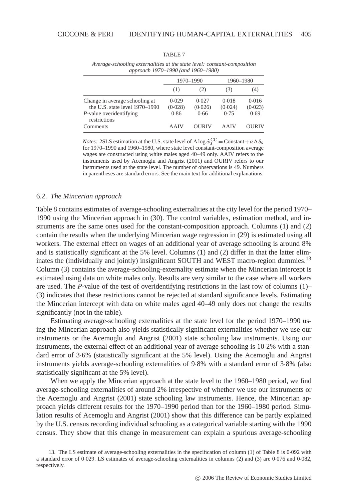| approach 1970–1990 (and 1900–1980)                               |                  |                  |                  |                  |
|------------------------------------------------------------------|------------------|------------------|------------------|------------------|
|                                                                  | 1970-1990        |                  | 1960-1980        |                  |
|                                                                  | (1)              | (2)              | (3)              | (4)              |
| Change in average schooling at<br>the U.S. state level 1970–1990 | 0.029<br>(0.028) | 0.027<br>(0.026) | 0.018<br>(0.024) | 0.016<br>(0.023) |
| <i>P</i> -value overidentifying<br>restrictions                  | 0.86             | 0.66             | 0.75             | 0.69             |
| Comments                                                         | AAIV             | <b>OURIV</b>     | AAIV             | <b>OURIV</b>     |

TABLE 7

*Average-schooling externalities at the state level: constant-composition approach 1970–1990 (and 1960–1980)*

*Notes:* 2SLS estimation at the U.S. state level of  $\triangle \log \hat{w}_s^{\text{CC}} = \text{Constant} + \alpha \, \Delta S_s$ for 1970–1990 and 1960–1980, where state level constant-composition average wages are constructed using white males aged 40–49 only. AAIV refers to the instruments used by Acemoglu and Angrist (2001) and OURIV refers to our instruments used at the state level. The number of observations is 49. Numbers in parentheses are standard errors. See the main text for additional explanations.

## 6.2. *The Mincerian approach*

Table 8 contains estimates of average-schooling externalities at the city level for the period 1970– 1990 using the Mincerian approach in (30). The control variables, estimation method, and instruments are the same ones used for the constant-composition approach. Columns (1) and (2) contain the results when the underlying Mincerian wage regression in (29) is estimated using all workers. The external effect on wages of an additional year of average schooling is around 8% and is statistically significant at the 5% level. Columns (1) and (2) differ in that the latter eliminates the (individually and jointly) insignificant SOUTH and WEST macro-region dummies.<sup>13</sup> Column (3) contains the average-schooling-externality estimate when the Mincerian intercept is estimated using data on white males only. Results are very similar to the case where all workers are used. The *P*-value of the test of overidentifying restrictions in the last row of columns (1)– (3) indicates that these restrictions cannot be rejected at standard significance levels. Estimating the Mincerian intercept with data on white males aged 40–49 only does not change the results significantly (not in the table).

Estimating average-schooling externalities at the state level for the period 1970–1990 using the Mincerian approach also yields statistically significant externalities whether we use our instruments or the Acemoglu and Angrist (2001) state schooling law instruments. Using our instruments, the external effect of an additional year of average schooling is 10·2% with a standard error of 3·6% (statistically significant at the 5% level). Using the Acemoglu and Angrist instruments yields average-schooling externalities of 9·8% with a standard error of 3·8% (also statistically significant at the 5% level).

When we apply the Mincerian approach at the state level to the 1960–1980 period, we find average-schooling externalities of around 2% irrespective of whether we use our instruments or the Acemoglu and Angrist (2001) state schooling law instruments. Hence, the Mincerian approach yields different results for the 1970–1990 period than for the 1960–1980 period. Simulation results of Acemoglu and Angrist (2001) show that this difference can be partly explained by the U.S. census recording individual schooling as a categorical variable starting with the 1990 census. They show that this change in measurement can explain a spurious average-schooling

<sup>13.</sup> The LS estimate of average-schooling externalities in the specification of column (1) of Table 8 is 0·092 with a standard error of 0·029. LS estimates of average-schooling externalities in columns (2) and (3) are 0·076 and 0·082, respectively.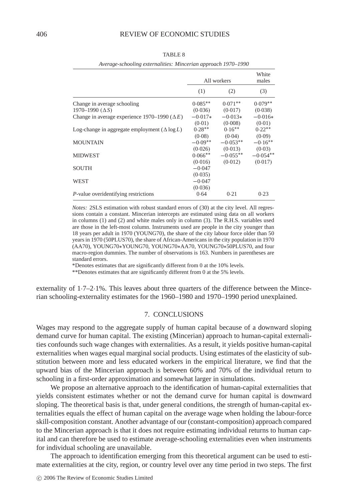|                                                        |           | All workers | White<br>males |
|--------------------------------------------------------|-----------|-------------|----------------|
|                                                        | (1)       | (2)         | (3)            |
| Change in average schooling                            | $0.085**$ | $0.071**$   | $0.079**$      |
| $1970 - 1990$ ( $\Delta S$ )                           | (0.036)   | (0.017)     | (0.038)        |
| Change in average experience 1970–1990 ( $\Delta E$ )  | $-0.017*$ | $-0.013*$   | $-0.016*$      |
|                                                        | (0.01)    | (0.008)     | (0.01)         |
| Log-change in aggregate employment ( $\Delta \log L$ ) | $0.28**$  | $0.16**$    | $0.22**$       |
|                                                        | (0.08)    | (0.04)      | (0.09)         |
| MOUNTAIN                                               | $-0.09**$ | $-0.053**$  | $-0.16**$      |
|                                                        | (0.026)   | (0.013)     | (0.03)         |
| MIDWEST                                                | $0.066**$ | $-0.055**$  | $-0.054**$     |
|                                                        | (0.016)   | (0.012)     | (0.017)        |
| SOUTH                                                  | $-0.047$  |             |                |
|                                                        | (0.035)   |             |                |
| WEST                                                   | $-0.047$  |             |                |
|                                                        | (0.036)   |             |                |
| <i>P</i> -value overidentifying restrictions           | 0.64      | 0.21        | 0.23           |
|                                                        |           |             |                |

TABLE 8 *Average-schooling externalities: Mincerian approach 1970–1990*

*Notes:* 2SLS estimation with robust standard errors of (30) at the city level. All regressions contain a constant. Mincerian intercepts are estimated using data on all workers in columns (1) and (2) and white males only in column (3). The R.H.S. variables used are those in the left-most column. Instruments used are people in the city younger than 18 years per adult in 1970 (YOUNG70), the share of the city labour force older than 50 years in 1970 (50PLUS70), the share of African-Americans in the city population in 1970 (AA70), YOUNG70∗YOUNG70, YOUNG70∗AA70, YOUNG70∗50PLUS70, and four macro-region dummies. The number of observations is 163. Numbers in parentheses are standard errors.

\*Denotes estimates that are significantly different from 0 at the 10% levels.

\*\*Denotes estimates that are significantly different from 0 at the 5% levels.

externality of 1·7–2·1%. This leaves about three quarters of the difference between the Mincerian schooling-externality estimates for the 1960–1980 and 1970–1990 period unexplained.

# 7. CONCLUSIONS

Wages may respond to the aggregate supply of human capital because of a downward sloping demand curve for human capital. The existing (Mincerian) approach to human-capital externalities confounds such wage changes with externalities. As a result, it yields positive human-capital externalities when wages equal marginal social products. Using estimates of the elasticity of substitution between more and less educated workers in the empirical literature, we find that the upward bias of the Mincerian approach is between 60% and 70% of the individual return to schooling in a first-order approximation and somewhat larger in simulations.

We propose an alternative approach to the identification of human-capital externalities that yields consistent estimates whether or not the demand curve for human capital is downward sloping. The theoretical basis is that, under general conditions, the strength of human-capital externalities equals the effect of human capital on the average wage when holding the labour-force skill-composition constant. Another advantage of our (constant-composition) approach compared to the Mincerian approach is that it does not require estimating individual returns to human capital and can therefore be used to estimate average-schooling externalities even when instruments for individual schooling are unavailable.

The approach to identification emerging from this theoretical argument can be used to estimate externalities at the city, region, or country level over any time period in two steps. The first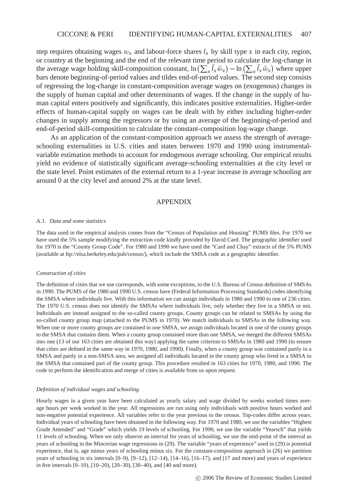step requires obtaining wages  $w_x$  and labour-force shares  $l_x$  by skill type x in each city, region, or country at the beginning and the end of the relevant time period to calculate the log-change in the average wage holding skill-composition constant,  $\ln\left(\sum_{x} l_x \tilde{w}_x\right) - \ln\left(\sum_{x} l_x \bar{w}_x\right)$  where upper bars denote beginning-of-period values and tildes end-of-period values. The second step consists of regressing the log-change in constant-composition average wages on (exogenous) changes in the supply of human capital and other determinants of wages. If the change in the supply of human capital enters positively and significantly, this indicates positive externalities. Higher-order effects of human-capital supply on wages can be dealt with by either including higher-order changes in supply among the regressors or by using an average of the beginning-of-period and end-of-period skill-composition to calculate the constant-composition log-wage change.

As an application of the constant-composition approach we assess the strength of averageschooling externalities in U.S. cities and states between 1970 and 1990 using instrumentalvariable estimation methods to account for endogenous average schooling. Our empirical results yield no evidence of statistically significant average-schooling externalities at the city level or the state level. Point estimates of the external return to a 1-year increase in average schooling are around 0 at the city level and around 2% at the state level.

# APPENDIX

## A.1. *Data and some statistics*

The data used in the empirical analysis comes from the "Census of Population and Housing" PUMS files. For 1970 we have used the 5% sample modifying the extraction code kindly provided by David Card. The geographic identifier used for 1970 is the "County Group Code". For 1980 and 1990 we have used the "Card and Chay" extracts of the 5% PUMS (available at ftp://elsa.berkeley.edu/pub/census/), which include the SMSA code as a geographic identifier.

#### *Construction of cities*

The definition of cities that we use corresponds, with some exceptions, to the U.S. Bureau of Census definition of SMSAs in 1990. The PUMS of the 1980 and 1990 U.S. census have (Federal Information Processing Standards) codes identifying the SMSA where individuals live. With this information we can assign individuals in 1980 and 1990 to one of 236 cities. The 1970 U.S. census does not identify the SMSAs where individuals live, only whether they live in a SMSA or not. Individuals are instead assigned to the so-called county groups. County groups can be related to SMSAs by using the so-called county group map (attached to the PUMS in 1970). We match individuals to SMSAs in the following way. When one or more county groups are contained in one SMSA, we assign individuals located in one of the county groups to the SMSA that contains them. When a county group contained more than one SMSA, we merged the different SMSAs into one (13 of our 163 cities are obtained this way) applying the same criterion to SMSAs in 1980 and 1990 (to ensure that cities are defined in the same way in 1970, 1980, and 1990). Finally, when a county group was contained partly in a SMSA and partly in a non-SMSA area, we assigned all individuals located in the county group who lived in a SMSA to the SMSA that contained part of the county group. This procedure resulted in 163 cities for 1970, 1980, and 1990. The code to perform the identification and merge of cities is available from us upon request.

## *Definition of individual wages and schooling*

Hourly wages in a given year have been calculated as yearly salary and wage divided by weeks worked times average hours per week worked in the year. All regressions are run using only individuals with positive hours worked and non-negative potential experience. All variables refer to the year previous to the census. Top-codes differ across years. Individual years of schooling have been obtained in the following way. For 1970 and 1980, we use the variables "Highest Grade Attended" and "Grade" which yields 19 levels of schooling. For 1990, we use the variable "Yearsch" that yields 11 levels of schooling. When we only observe an interval for years of schooling, we use the mid-point of the interval as years of schooling in the Mincerian wage regressions in (29). The variable "years of experience" used in (29) is potential experience, that is, age minus years of schooling minus six. For the constant-composition approach in (26) we partition years of schooling in six intervals [0–9), [9–12), [12–14), [14–16), [16–17), and [17 and more) and years of experience in five intervals [0–10), [10–20), [20–30), [30–40), and [40 and more).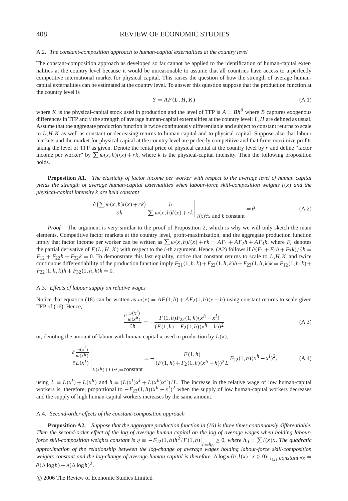# 408 REVIEW OF ECONOMIC STUDIES

#### A.2. *The constant-composition approach to human-capital externalities at the country level*

The constant-composition approach as developed so far cannot be applied to the identification of human-capital externalities at the country level because it would be unreasonable to assume that all countries have access to a perfectly competitive international market for physical capital. This raises the question of how the strength of average humancapital externalities can be estimated at the country level. To answer this question suppose that the production function at the country level is

$$
Y = AF(L, H, K) \tag{A.1}
$$

where *K* is the physical-capital stock used in production and the level of TFP is  $A = Bh^{\theta}$  where *B* captures exogenous differences in TFP and θ the strength of average human-capital externalities at the country level; *L*,*H* are defined as usual. Assume that the aggregate production function is twice continuously differentiable and subject to constant returns to scale to *L*,*H*,*K* as well as constant or decreasing returns to human capital and to physical capital. Suppose also that labour markets and the market for physical capital at the country level are perfectly competitive and that firms maximize profits taking the level of TFP as given. Denote the rental price of physical capital at the country level by *r* and define "factor income per worker" by  $\sum w(x, h)l(x) + rk$ , where *k* is the physical-capital intensity. Then the following proposition holds.

**Proposition A1.** *The elasticity of factor income per worker with respect to the average level of human capital yields the strength of average human-capital externalities when labour-force skill-composition weights l*(*x*) *and the physical-capital intensity k are held constant*

$$
\frac{\partial (\sum w(x, h)l(x) + rk)}{\partial h} \frac{h}{\sum w(x, h)l(x) + rk} \bigg|_{l(x) \forall x \text{ and } k \text{ constant}} = \theta.
$$
 (A.2)

*Proof.* The argument is very similar to the proof of Proposition 2, which is why we will only sketch the main elements. Competitive factor markets at the country level, profit-maximization, and the aggregate production function imply that factor income per worker can be written as  $\sum w(x, h)l(x) + rk = AF_1 + AF_2h + AF_3k$ , where  $F_i$  denotes the partial derivative of  $F(L, H, K)$  with respect to the *i*-th argument. Hence, (A2) follows if  $\partial (F_1 + F_2 h + F_3 k)/\partial h =$  $F_{12} + F_{22}h + F_{32}k = 0$ . To demonstrate this last equality, notice that constant returns to scale to *L*,*H*,*K* and twice continuous differentiability of the production function imply  $F_{21}(1,h,k) + F_{22}(1,h,k)h + F_{23}(1,h,k)k = F_{12}(1,h,k) + F_{23}(1,h,k)h$  $F_{22}(1, h, k)h + F_{32}(1, h, k)k = 0.$ 

#### A.3. *Effects of labour supply on relative wages*

Notice that equation (18) can be written as  $w(x) = AF(1, h) + AF_2(1, h)(x - h)$  using constant returns to scale given TFP of (16). Hence,

$$
\frac{\partial \frac{w(x^l)}{w(x^h)}}{\partial h} = -\frac{F(1,h)F_{22}(1,h)(x^h - x^l)}{(F(1,h) + F_2(1,h)(x^h - h))^2}
$$
(A.3)

or, denoting the amount of labour with human capital *x* used in production by  $L(x)$ ,

$$
\frac{\partial \frac{w(x^l)}{w(x^h)}}{\partial L(x^l)}\Bigg|_{L(x^h) + L(x^l) = \text{constant}} = -\frac{F(1,h)}{(F(1,h) + F_2(1,h)(x^h - h))^2 L} F_{22}(1,h)(x^h - x^l)^2,
$$
\n(A.4)

using  $L = L(x^l) + L(x^h)$  and  $h = (L(x^l)x^l + L(x^h)x^h)/L$ . The increase in the relative wage of low human-capital workers is, therefore, proportional to  $-F_{22}(1,h)(x^h - x^l)^2$  when the supply of low human-capital workers decreases and the supply of high human-capital workers increases by the same amount.

### A.4. *Second-order effects of the constant-composition approach*

**Proposition A2.** *Suppose that the aggregate production function in (16) is three times continuously differentiable. Then the second-order effect of the log of average human capital on the log of average wages when holding labourforce skill-composition weights constant is*  $\eta = -F_{22}(1, h)h^2/F(1, h)$   $\bigg|_{h=h_0} \geq 0$ , where  $h_0 = \sum l(x)x$ . The quadratic *approximation of the relationship between the log-change of average wages holding labour-force skill-composition weights constant and the log-change of average human capital is therefore*  $\Delta \log w(h, l(x) : x \ge 0)$   $\big|_{l(x)}$  *constant*  $\forall x$  $\theta$ ( $\Delta$ log*h*) +  $\eta$ ( $\Delta$ log*h*)<sup>2</sup>.

c 2006 The Review of Economic Studies Limited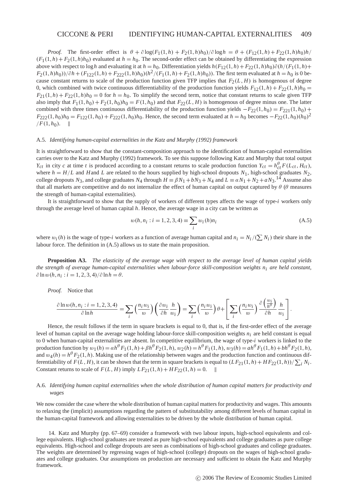*Proof.* The first-order effect is  $\theta + \partial \log(F_1(1,h) + F_2(1,h)h_0)/\partial \log h = \theta + (F_1(1,h) + F_2(1,h)h_0)h_0$  $(F_1(1,h) + F_2(1,h)h_0)$  evaluated at  $h = h_0$ . The second-order effect can be obtained by differentiating the expression above with respect to log *h* and evaluating it at  $h = h_0$ . Differentiation yields  $h(F_1(1,h) + F_2(1,h)h_0)\partial(h/(F_1(1,h) + F_2(h)))$  $F_2(1,h)h_0$ )/ $\partial h + (F_{122}(1,h) + F_{222}(1,h)h_0)(h^2/(F_1(1,h) + F_2(1,h)h_0))$ . The first term evaluated at  $h = h_0$  is 0 because constant returns to scale of the production function given TFP implies that  $F_2(L, H)$  is homogenous of degree 0, which combined with twice continuous differentiability of the production function yields  $F_{12}(1,h) + F_{22}(1,h)h_0 =$  $F_{21}(1,h) + F_{22}(1,h)h_0 = 0$  for  $h = h_0$ . To simplify the second term, notice that constant returns to scale given TFP also imply that  $F_1(1,h_0) + F_2(1,h_0)h_0 = F(1,h_0)$  and that  $F_{22}(L, H)$  is homogenous of degree minus one. The latter combined with three times continuous differentiability of the production function yields  $-F_{22}(1, h_0) = F_{221}(1, h_0) +$  $F_{222}(1, h_0)h_0 = F_{122}(1, h_0) + F_{222}(1, h_0)h_0$ . Hence, the second term evaluated at  $h = h_0$  becomes  $-F_{22}(1, h_0)(h_0)^2$  $/F(1, h_0)$ .

### A.5. *Identifying human-capital externalities in the Katz and Murphy (1992) framework*

It is straightforward to show that the constant-composition approach to the identification of human-capital externalities carries over to the Katz and Murphy (1992) framework. To see this suppose following Katz and Murphy that total output *Y<sub>ct</sub>* in city *c* at time *t* is produced according to a constant returns to scale production function  $Y_{ct} = h_{ct}^{\theta} F(L_{ct}, H_{ct})$ , where  $h = H/L$  and *H* and *L* are related to the hours supplied by high-school dropouts  $N_1$ , high-school graduates  $N_2$ , college dropouts *N*<sub>3</sub>, and college graduates *N*<sub>4</sub> through  $H = \beta N_1 + bN_3 + N_4$  and  $L = \alpha N_1 + N_2 + aN_3$ .<sup>14</sup> Assume also that all markets are competitive and do not internalize the effect of human capital on output captured by  $\theta$  ( $\theta$  measures the strength of human-capital externalities).

It is straightforward to show that the supply of workers of different types affects the wage of type-*i* workers only through the average level of human capital *h*. Hence, the average wage in a city can be written as

$$
w(h, n_i : i = 1, 2, 3, 4) \equiv \sum_i w_i(h) n_i
$$
\n(A.5)

where  $w_i(h)$  is the wage of type-*i* workers as a function of average human capital and  $n_i = N_i/(\sum_i N_i)$  their share in the labour force. The definition in (A.5) allows us to state the main proposition.

**Proposition A3.** *The elasticity of the average wage with respect to the average level of human capital yields the strength of average human-capital externalities when labour-force skill-composition weights ni are held constant,* ∂ lnw(*h*,*ni* : *i* = 1,2,3,4)/∂ ln*h* = θ*.*

*Proof.* Notice that

$$
\frac{\partial \ln w(h, n_i : i = 1, 2, 3, 4)}{\partial \ln h} = \sum_i \left( \frac{n_i w_i}{w} \right) \left( \frac{\partial w_i}{\partial h} \frac{h}{w_i} \right) = \sum_i \left( \frac{n_i w_i}{w} \right) \theta + \left[ \sum_i \left( \frac{n_i w_i}{w} \right) \frac{\partial \left( \frac{w_i}{h} \right)}{\partial h} \frac{h}{w_i} \right].
$$

Hence, the result follows if the term in square brackets is equal to 0, that is, if the first-order effect of the average level of human capital on the average wage holding labour-force skill-composition weights *ni* are held constant is equal to 0 when human-capital externalities are absent. In competitive equilibrium, the wage of type-*i* workers is linked to the production function by  $w_1(h) = \alpha h^{\theta} F_1(1, h) + \beta h^{\theta} F_2(1, h)$ ,  $w_2(h) = h^{\theta} F_1(1, h)$ ,  $w_3(h) = \alpha h^{\theta} F_1(1, h) + \beta h^{\theta} F_2(1, h)$ , and  $w_4(h) = h^{\theta} F_2(1, h)$ . Making use of the relationship between wages and the production function and continuous differentiability of  $F(L, H)$ , it can be shown that the term in square brackets is equal to  $(LF_{21}(1, h) + HF_{22}(1, h))/\sum_i N_i$ . Constant returns to scale of  $F(L, H)$  imply  $LF_{21}(1, h) + HF_{22}(1, h) = 0.$ 

## A.6. *Identifying human capital externalities when the whole distribution of human capital matters for productivity and wages*

We now consider the case where the whole distribution of human capital matters for productivity and wages. This amounts to relaxing the (implicit) assumptions regarding the pattern of substitutability among different levels of human capital in the human-capital framework and allowing externalities to be driven by the whole distribution of human capital.

14. Katz and Murphy (pp. 67–69) consider a framework with two labour inputs, high-school equivalents and college equivalents. High-school graduates are treated as pure high-school equivalents and college graduates as pure college equivalents. High-school and college dropouts are seen as combinations of high-school graduates and college graduates. The weights are determined by regressing wages of high-school (college) dropouts on the wages of high-school graduates and college graduates. Our assumptions on production are necessary and sufficient to obtain the Katz and Murphy framework.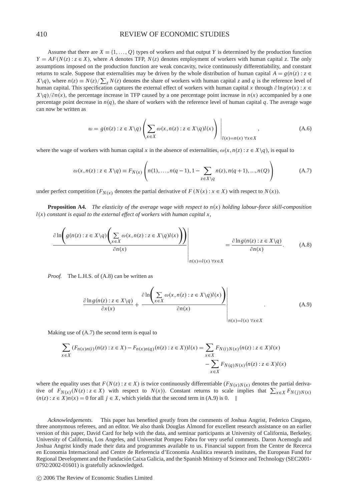# 410 REVIEW OF ECONOMIC STUDIES

Assume that there are  $X = \{1, \ldots, Q\}$  types of workers and that output *Y* is determined by the production function  $Y = AF(N(z) : z \in X)$ , where *A* denotes TFP,  $N(z)$  denotes employment of workers with human capital *z*. The only assumptions imposed on the production function are weak concavity, twice continuously differentiability, and constant returns to scale. Suppose that externalities may be driven by the whole distribution of human capital  $A = g(n(z) : z \in$  $X\setminus q$ , where  $n(z) \equiv N(z)/\sum_{z} N(z)$  denotes the share of workers with human capital *z* and *q* is the reference level of human capital. This specification captures the external effect of workers with human capital *x* through ∂ ln *g*( $n(x)$  :  $x \in$  $X\$ <sup> $\alpha$ </sup>)/∂*n*(*x*), the percentage increase in TFP caused by a one percentage point increase in *n*(*x*) accompanied by a one percentage point decrease in  $n(q)$ , the share of workers with the reference level of human capital  $q$ . The average wage can now be written as

$$
w = g(n(z) : z \in X \setminus q) \left( \sum_{x \in X} \omega(x, n(z) : z \in X \setminus q) l(x) \right) \Bigg|_{l(x) = n(x) \forall x \in X},
$$
\n(A.6)

where the wage of workers with human capital *x* in the absence of externalities,  $\omega(x, n(z) : z \in X \setminus a)$ , is equal to

$$
\omega(x, n(z) : z \in X \setminus q) \equiv F_{N(x)} \left( n(1), \dots, n(q-1), 1 - \sum_{z \in X \setminus q} n(z), n(q+1), \dots, n(Q) \right) \tag{A.7}
$$

under perfect competition ( $F_{N(x)}$  denotes the partial derivative of  $F(N(x): x \in X)$  with respect to  $N(x)$ ).

**Proposition A4.** *The elasticity of the average wage with respect to n*(*x*) *holding labour-force skill-composition l*(*x*) *constant is equal to the external effect of workers with human capital x,*

$$
\frac{\partial \ln \left( g(n(z) : z \in X \setminus q) \left( \sum_{x \in X} \omega(x, n(z) : z \in X \setminus q) l(x) \right) \right)}{\partial n(x)} = \frac{\partial \ln g(n(z) : z \in X \setminus q)}{\partial n(x)}.
$$
 (A.8)

*Proof.* The L.H.S. of (A.8) can be written as

$$
\frac{\partial \ln g(n(z) : z \in X \setminus q)}{\partial x(x)} + \frac{\partial \ln \left( \sum_{x \in X} \omega(x, n(z) : z \in X \setminus q) l(x) \right)}{\partial n(x)} \Bigg|_{n(x) = l(x) \forall x \in X}
$$
(A.9)

Making use of (A.7) the second term is equal to

$$
\sum_{x \in X} (F_{n(x)n(i)}(n(z) : z \in X) - F_{n(x)n(q)}(n(z) : z \in X))l(x) = \sum_{x \in X} F_{N(i)N(x)}(n(z) : z \in X)l(x) - \sum_{x \in X} F_{N(q)N(x)}(n(z) : z \in X)l(x)
$$

where the equality uses that  $F(N(z): z \in X)$  is twice continuously differentiable  $(F_{N(x)N(x)})$  denotes the partial derivative of  $F_{N(x)}(N(z): z \in X)$  with respect to  $N(x)$ ). Constant returns to scale implies that  $\sum_{x \in X} F_{N(j)N(x)}$  $(n(z): z \in X)n(x) = 0$  for all  $j \in X$ , which yields that the second term in (A.9) is 0.

*Acknowledgements.* This paper has benefited greatly from the comments of Joshua Angrist, Federico Cingano, three anonymous referees, and an editor. We also thank Douglas Almond for excellent research assistance on an earlier version of this paper, David Card for help with the data, and seminar participants at University of California, Berkeley, University of California, Los Angeles, and Universitat Pompeu Fabra for very useful comments. Daron Acemoglu and Joshua Angrist kindly made their data and programmes available to us. Financial support from the Centre de Recerca en Economia Internacional and Centre de Referencia d'Economia Analitica research institutes, the European Fund for Regional Development and the Fundación Caixa Galicia, and the Spanish Ministry of Science and Technology (SEC2001- 0792/2002-01601) is gratefully acknowledged.

c 2006 The Review of Economic Studies Limited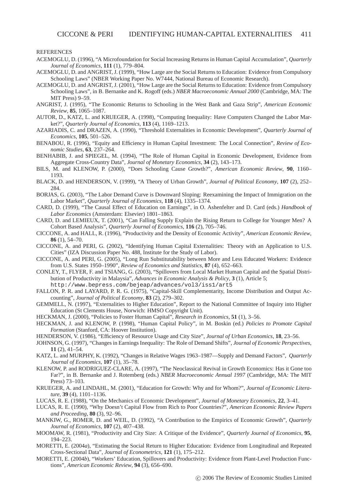**REFERENCES** 

- ACEMOGLU, D. (1996), "A Microfoundation for Social Increasing Returns in Human Capital Accumulation", *Quarterly Journal of Economics*, **111** (1), 779–804.
- ACEMOGLU, D. and ANGRIST, J. (1999), "How Large are the Social Returns to Education: Evidence from Compulsory Schooling Laws" (NBER Working Paper No. W7444, National Bureau of Economic Research).
- ACEMOGLU, D. and ANGRIST, J. (2001), "How Large are the Social Returns to Education: Evidence from Compulsory Schooling Laws", in B. Bernanke and K. Rogoff (eds.) *NBER Macroeconomic Annual 2000* (Cambridge, MA: The MIT Press) 9–59.
- ANGRIST, J. (1995), "The Economic Returns to Schooling in the West Bank and Gaza Strip", *American Economic Review*, **85**, 1065–1087.
- AUTOR, D., KATZ, L. and KRUEGER, A. (1998), "Computing Inequality: Have Computers Changed the Labor Market?", *Quarterly Journal of Economics*, **113** (4), 1169–1213.
- AZARIADIS, C. and DRAZEN, A. (1990), "Threshold Externalities in Economic Development", *Quarterly Journal of Economics*, **105**, 501–526.
- BENABOU, R. (1996), "Equity and Efficiency in Human Capital Investment: The Local Connection", *Review of Economic Studies*, **63**, 237–264.
- BENHABIB, J. and SPIEGEL, M. (1994), "The Role of Human Capital in Economic Development, Evidence from Aggregate Cross-Country Data", *Journal of Monetary Economics*, **34** (2), 143–173.
- BILS, M. and KLENOW, P. (2000), "Does Schooling Cause Growth?", *American Economic Review*, **90**, 1160– 1193.
- BLACK, D. and HENDERSON, V. (1999), "A Theory of Urban Growth", *Journal of Political Economy*, **107** (2), 252– 284.
- BORJAS, G. (2003), "The Labor Demand Curve is Downward Sloping: Reexamining the Impact of Immigration on the Labor Market", *Quarterly Journal of Economics*, **118** (4), 1335–1374.
- CARD, D. (1999), "The Causal Effect of Education on Earnings", in O. Ashenfelter and D. Card (eds.) *Handbook of Labor Economics* (Amsterdam: Elsevier) 1801–1863.
- CARD, D. and LEMIEUX, T. (2001), "Can Falling Supply Explain the Rising Return to College for Younger Men? A Cohort Based Analysis", *Quarterly Journal of Economics*, **116** (2), 705–746.
- CICCONE, A. and HALL, R. (1996), "Productivity and the Density of Economic Activity", *American Economic Review*, **86** (1), 54–70.
- CICCONE, A. and PERI, G. (2002), "Identifying Human Capital Externalities: Theory with an Application to U.S. Cities" (IZA Discussion Paper No. 488, Institute for the Study of Labor).
- CICCONE, A. and PERI, G. (2005), "Long Run Substitutability between More and Less Educated Workers: Evidence from U.S. States 1950–1990", *Review of Economics and Statistics*, **87** (4), 652–663.
- CONLEY, T., FLYER, F. and TSIANG, G. (2003), "Spillovers from Local Market Human Capital and the Spatial Distribution of Productivity in Malaysia", *Advances in Economic Analysis & Policy*, **3** (1), Article 5; http://www.bepress.com/bejeap/advances/vol3/iss1/art5
- FALLON, P. R. and LAYARD, P. R. G. (1975), "Capital-Skill Complementarity, Income Distribution and Output Accounting", *Journal of Political Economy*, **83** (2), 279–302.
- GEMMELL, N. (1997), "Externalities to Higher Education", Report to the National Committee of Inquiry into Higher Education (St Clements House, Norwich: HMSO Copyright Unit).
- HECKMAN, J. (2000), "Policies to Foster Human Capital", *Research in Economics*, **51** (1), 3–56.
- HECKMAN, J. and KLENOW, P. (1998), "Human Capital Policy", in M. Boskin (ed.) *Policies to Promote Capital Formation* (Stanford, CA: Hoover Institution).
- HENDERSON, V. (1986), "Efficiency of Resource Usage and City Size", *Journal of Urban Economics*, **18**, 23–56.
- JOHNSON, G. (1997), "Changes in Earnings Inequality: The Role of Demand Shifts", *Journal of Economic Perspectives*, **11** (2), 41–54.
- KATZ, L. and MURPHY, K. (1992), "Changes in Relative Wages 1963–1987—Supply and Demand Factors", *Quarterly Journal of Economics*, **107** (1), 35–78.
- KLENOW, P. and RODRIGUEZ-CLARE, A. (1997), "The Neoclassical Revival in Growth Economics: Has it Gone too Far?", in B. Bernanke and J. Rotemberg (eds.) *NBER Macroeconomic Annual 1997* (Cambridge, MA: The MIT Press) 73–103.
- KRUEGER, A. and LINDAHL, M. (2001), "Education for Growth: Why and for Whom?", *Journal of Economic Literature*, **39** (4), 1101–1136.
- LUCAS, R. E. (1988), "On the Mechanics of Economic Development", *Journal of Monetary Economics*, **22**, 3–41.
- LUCAS, R. E. (1990), "Why Doesn't Capital Flow from Rich to Poor Countries?", *American Economic Review Papers and Proceeding*, **80** (3), 92–96.
- MANKIW, G., ROMER, D. and WEIL, D. (1992), "A Contribution to the Empirics of Economic Growth", *Quarterly Journal of Economics*, **107** (2), 407–438.
- MOOMAW, R. (1981), "Productivity and City Size: A Critique of the Evidence", *Quarterly Journal of Economics*, **95**, 194–223.
- MORETTI, E. (2004*a*), "Estimating the Social Return to Higher Education: Evidence from Longitudinal and Repeated Cross-Sectional Data", *Journal of Econometrics*, **121** (1), 175–212.
- MORETTI, E. (2004*b*), "Workers' Education, Spillovers and Productivity: Evidence from Plant-Level Production Functions", *American Economic Review*, **94** (3), 656–690.